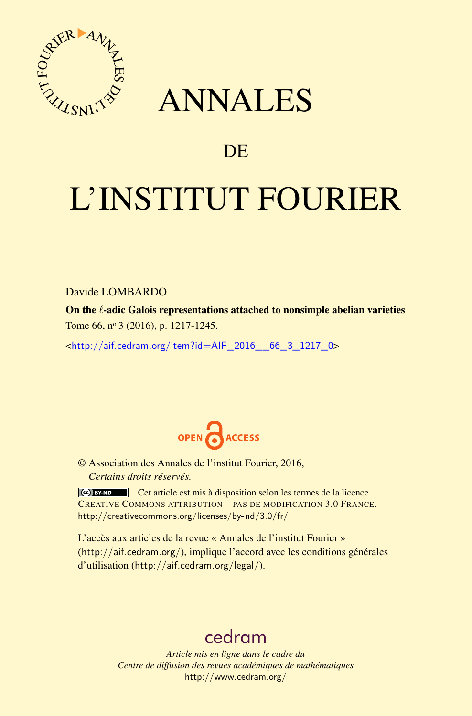

## ANNALES

### **DE**

# L'INSTITUT FOURIER

Davide LOMBARDO

On the *l*-adic Galois representations attached to nonsimple abelian varieties Tome 66, nº 3 (2016), p. 1217-1245.

 $\kappa$ http://aif.cedram.org/item?id=AIF 2016 66 3 1217 0>



© Association des Annales de l'institut Fourier, 2016, *Certains droits réservés.*

Cet article est mis à disposition selon les termes de la licence CREATIVE COMMONS ATTRIBUTION – PAS DE MODIFICATION 3.0 FRANCE. <http://creativecommons.org/licenses/by-nd/3.0/fr/>

L'accès aux articles de la revue « Annales de l'institut Fourier » (<http://aif.cedram.org/>), implique l'accord avec les conditions générales d'utilisation (<http://aif.cedram.org/legal/>).

## [cedram](http://www.cedram.org/)

*Article mis en ligne dans le cadre du Centre de diffusion des revues académiques de mathématiques* <http://www.cedram.org/>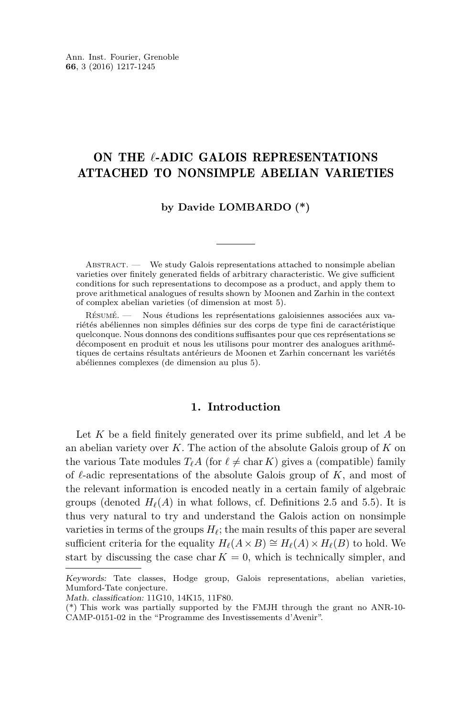#### ON THE *l*-ADIC GALOIS REPRESENTATIONS ATTACHED TO NONSIMPLE ABELIAN VARIETIES

#### **by Davide LOMBARDO (\*)**

ABSTRACT. — We study Galois representations attached to nonsimple abelian varieties over finitely generated fields of arbitrary characteristic. We give sufficient conditions for such representations to decompose as a product, and apply them to prove arithmetical analogues of results shown by Moonen and Zarhin in the context of complex abelian varieties (of dimension at most 5).

Résumé. — Nous étudions les représentations galoisiennes associées aux variétés abéliennes non simples définies sur des corps de type fini de caractéristique quelconque. Nous donnons des conditions suffisantes pour que ces représentations se décomposent en produit et nous les utilisons pour montrer des analogues arithmétiques de certains résultats antérieurs de Moonen et Zarhin concernant les variétés abéliennes complexes (de dimension au plus 5).

#### **1. Introduction**

Let *K* be a field finitely generated over its prime subfield, and let *A* be an abelian variety over *K*. The action of the absolute Galois group of *K* on the various Tate modules  $T_{\ell}A$  (for  $\ell \neq \text{char } K$ ) gives a (compatible) family of  $\ell$ -adic representations of the absolute Galois group of  $K$ , and most of the relevant information is encoded neatly in a certain family of algebraic groups (denoted  $H_\ell(A)$  in what follows, cf. Definitions [2.5](#page-6-0) and [5.5\)](#page-23-0). It is thus very natural to try and understand the Galois action on nonsimple varieties in terms of the groups  $H_\ell$ ; the main results of this paper are several sufficient criteria for the equality  $H_\ell(A \times B) \cong H_\ell(A) \times H_\ell(B)$  to hold. We start by discussing the case char  $K = 0$ , which is technically simpler, and

Keywords: Tate classes, Hodge group, Galois representations, abelian varieties, Mumford-Tate conjecture.

Math. classification: 11G10, 14K15, 11F80.

<sup>(\*)</sup> This work was partially supported by the FMJH through the grant no ANR-10- CAMP-0151-02 in the "Programme des Investissements d'Avenir".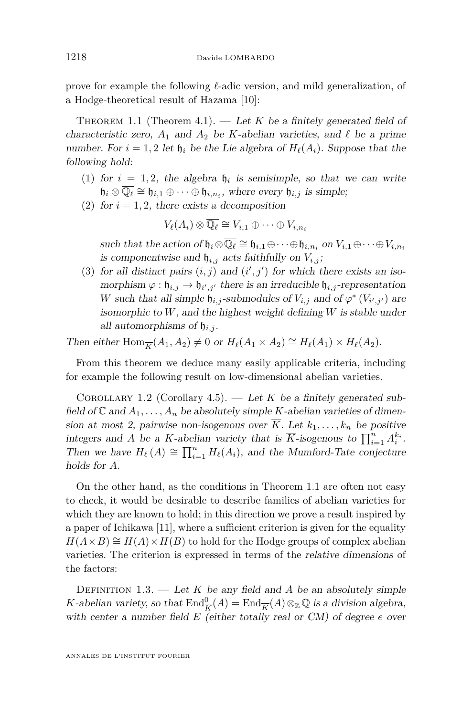prove for example the following  $\ell$ -adic version, and mild generalization, of a Hodge-theoretical result of Hazama [\[10\]](#page-28-0):

<span id="page-2-0"></span>THEOREM 1.1 (Theorem [4.1\)](#page-16-0).  $-$  Let K be a finitely generated field of characteristic zero,  $A_1$  and  $A_2$  be *K*-abelian varieties, and  $\ell$  be a prime number. For  $i = 1, 2$  let  $\mathfrak{h}_i$  be the Lie algebra of  $H_\ell(A_i)$ . Suppose that the following hold:

- (1) for  $i = 1, 2$ , the algebra  $\mathfrak{h}_i$  is semisimple, so that we can write  $\mathfrak{h}_i \otimes \overline{\mathbb{Q}_\ell} \cong \mathfrak{h}_{i,1} \oplus \cdots \oplus \mathfrak{h}_{i,n_i}$ , where every  $\mathfrak{h}_{i,j}$  is simple;
- (2) for  $i = 1, 2$ , there exists a decomposition

$$
V_{\ell}(A_i) \otimes \overline{\mathbb{Q}_{\ell}} \cong V_{i,1} \oplus \cdots \oplus V_{i,n_i}
$$

such that the action of  $\mathfrak{h}_i \otimes \overline{\mathbb{Q}_\ell} \cong \mathfrak{h}_{i,1} \oplus \cdots \oplus \mathfrak{h}_{i,n_i}$  on  $V_{i,1} \oplus \cdots \oplus V_{i,n_i}$ is componentwise and  $\mathfrak{h}_{i,j}$  acts faithfully on  $V_{i,j}$ ;

(3) for all distinct pairs  $(i, j)$  and  $(i', j')$  for which there exists an isomorphism  $\varphi : \mathfrak{h}_{i,j} \to \mathfrak{h}_{i',j'}$  there is an irreducible  $\mathfrak{h}_{i,j}$ -representation *W* such that all simple  $\mathfrak{h}_{i,j}$ -submodules of  $V_{i,j}$  and of  $\varphi^*(V_{i',j'})$  are isomorphic to *W*, and the highest weight defining *W* is stable under all automorphisms of  $\mathfrak{h}_{i,j}$ .

Then either  $\text{Hom}_{\overline{K}}(A_1, A_2) \neq 0$  or  $H_{\ell}(A_1 \times A_2) \cong H_{\ell}(A_1) \times H_{\ell}(A_2)$ .

From this theorem we deduce many easily applicable criteria, including for example the following result on low-dimensional abelian varieties.

<span id="page-2-1"></span>COROLLARY 1.2 (Corollary [4.5\)](#page-18-0). — Let *K* be a finitely generated subfield of  $\mathbb C$  and  $A_1, \ldots, A_n$  be absolutely simple *K*-abelian varieties of dimension at most 2, pairwise non-isogenous over  $\overline{K}$ . Let  $k_1, \ldots, k_n$  be positive integers and *A* be a *K*-abelian variety that is  $\overline{K}$ -isogenous to  $\prod_{i=1}^{n} A_i^{k_i}$ . Then we have  $H_\ell(A) \cong \prod_{i=1}^n H_\ell(A_i)$ , and the Mumford-Tate conjecture holds for *A*.

On the other hand, as the conditions in Theorem [1.1](#page-2-0) are often not easy to check, it would be desirable to describe families of abelian varieties for which they are known to hold; in this direction we prove a result inspired by a paper of Ichikawa [\[11\]](#page-28-1), where a sufficient criterion is given for the equality  $H(A \times B) \cong H(A) \times H(B)$  to hold for the Hodge groups of complex abelian varieties. The criterion is expressed in terms of the relative dimensions of the factors:

DEFINITION 1.3. — Let K be any field and A be an absolutely simple *K*-abelian variety, so that  $\text{End}_{\overline{K}}^0(A) = \text{End}_{\overline{K}}(A) \otimes_{\mathbb{Z}} \mathbb{Q}$  is a division algebra, with center a number field *E* (either totally real or CM) of degree *e* over

ANNALES DE L'INSTITUT FOURIER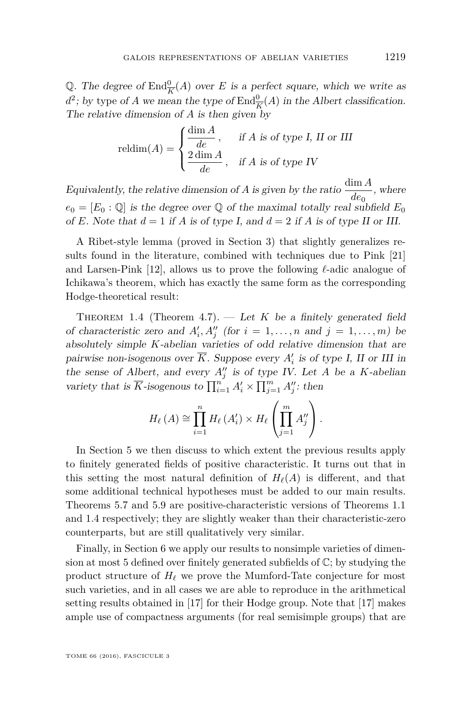Q. The degree of  $\text{End}_{\overline{K}}^0(A)$  over *E* is a perfect square, which we write as  $d^2$ ; by type of *A* we mean the type of  $\text{End}_{\overline{K}}^0(A)$  in the *Albert classification*. The relative dimension of *A* is then given by

$$
\text{reldim}(A) = \begin{cases} \frac{\dim A}{de}, & \text{if } A \text{ is of type } I, H \text{ or } III \\ \frac{2 \dim A}{de}, & \text{if } A \text{ is of type } IV \end{cases}
$$

Equivalently, the relative dimension of *A* is given by the ratio  $\frac{\dim A}{de_0}$ , where  $e_0 = [E_0 : \mathbb{Q}]$  is the degree over  $\mathbb{Q}$  of the maximal totally real subfield  $E_0$ of *E*. Note that  $d = 1$  if *A* is of type *I*, and  $d = 2$  if *A* is of type *II* or *III*.

A Ribet-style lemma (proved in Section [3\)](#page-12-0) that slightly generalizes results found in the literature, combined with techniques due to Pink [\[21\]](#page-28-2) and Larsen-Pink  $[12]$ , allows us to prove the following  $\ell$ -adic analogue of Ichikawa's theorem, which has exactly the same form as the corresponding Hodge-theoretical result:

<span id="page-3-0"></span>THEOREM 1.4 (Theorem [4.7\)](#page-19-0).  $\qquad$  Let *K* be a finitely generated field of characteristic zero and  $A'_i, A''_j$  (for  $i = 1, \ldots, n$  and  $j = 1, \ldots, m$ ) be absolutely simple *K*-abelian varieties of odd relative dimension that are pairwise non-isogenous over  $\overline{K}$ . Suppose every  $A'_i$  is of type I, II or III in the sense of Albert, and every  $A''_j$  is of type IV. Let *A* be a *K*-abelian variety that is  $\overline{K}$ -isogenous to  $\prod_{i=1}^{n} A'_{i} \times \prod_{j=1}^{m} A''_{j}$ : then

$$
H_{\ell}(A) \cong \prod_{i=1}^{n} H_{\ell}(A'_{i}) \times H_{\ell}\left(\prod_{j=1}^{m} A''_{j}\right).
$$

In Section [5](#page-22-0) we then discuss to which extent the previous results apply to finitely generated fields of positive characteristic. It turns out that in this setting the most natural definition of  $H_\ell(A)$  is different, and that some additional technical hypotheses must be added to our main results. Theorems [5.7](#page-23-1) and [5.9](#page-24-0) are positive-characteristic versions of Theorems [1.1](#page-2-0) and [1.4](#page-3-0) respectively; they are slightly weaker than their characteristic-zero counterparts, but are still qualitatively very similar.

Finally, in Section [6](#page-24-1) we apply our results to nonsimple varieties of dimension at most 5 defined over finitely generated subfields of  $\mathbb{C}$ ; by studying the product structure of  $H_\ell$  we prove the Mumford-Tate conjecture for most such varieties, and in all cases we are able to reproduce in the arithmetical setting results obtained in [\[17\]](#page-28-4) for their Hodge group. Note that [\[17\]](#page-28-4) makes ample use of compactness arguments (for real semisimple groups) that are

TOME 66 (2016), FASCICULE 3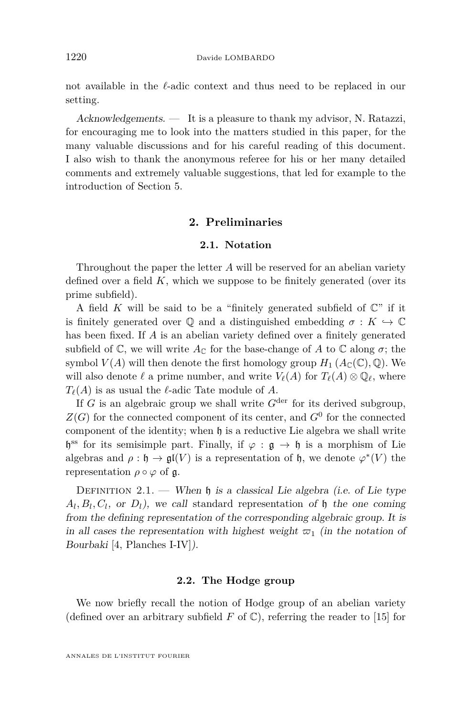not available in the  $\ell$ -adic context and thus need to be replaced in our setting.

Acknowledgements. — It is a pleasure to thank my advisor, N. Ratazzi, for encouraging me to look into the matters studied in this paper, for the many valuable discussions and for his careful reading of this document. I also wish to thank the anonymous referee for his or her many detailed comments and extremely valuable suggestions, that led for example to the introduction of Section [5.](#page-22-0)

#### **2. Preliminaries**

#### **2.1. Notation**

Throughout the paper the letter *A* will be reserved for an abelian variety defined over a field *K*, which we suppose to be finitely generated (over its prime subfield).

A field *K* will be said to be a "finitely generated subfield of  $\mathbb{C}$ " if it is finitely generated over  $\mathbb Q$  and a distinguished embedding  $\sigma : K \hookrightarrow \mathbb C$ has been fixed. If *A* is an abelian variety defined over a finitely generated subfield of  $\mathbb{C}$ , we will write  $A_{\mathbb{C}}$  for the base-change of A to  $\mathbb{C}$  along  $\sigma$ ; the symbol  $V(A)$  will then denote the first homology group  $H_1(A_{\mathbb{C}}(\mathbb{C}), \mathbb{Q})$ . We will also denote  $\ell$  a prime number, and write  $V_{\ell}(A)$  for  $T_{\ell}(A) \otimes \mathbb{Q}_{\ell}$ , where  $T_{\ell}(A)$  is as usual the  $\ell$ -adic Tate module of *A*.

If *G* is an algebraic group we shall write  $G^{\text{der}}$  for its derived subgroup,  $Z(G)$  for the connected component of its center, and  $G^0$  for the connected component of the identity; when  $\mathfrak h$  is a reductive Lie algebra we shall write h<sup>os</sup> for its semisimple part. Finally, if  $\varphi : \mathfrak{g} \to \mathfrak{h}$  is a morphism of Lie algebras and  $\rho : \mathfrak{h} \to \mathfrak{gl}(V)$  is a representation of  $\mathfrak{h}$ , we denote  $\varphi^*(V)$  the representation  $\rho \circ \varphi$  of g.

<span id="page-4-0"></span>DEFINITION 2.1. — When  $\mathfrak h$  is a classical Lie algebra (i.e. of Lie type  $A_l, B_l, C_l$ , or  $D_l$ ), we call standard representation of h the one coming from the defining representation of the corresponding algebraic group. It is in all cases the representation with highest weight  $\varpi_1$  (in the notation of Bourbaki [\[4,](#page-27-0) Planches I-IV]).

#### **2.2. The Hodge group**

We now briefly recall the notion of Hodge group of an abelian variety (defined over an arbitrary subfield  $F$  of  $\mathbb{C}$ ), referring the reader to [\[15\]](#page-28-5) for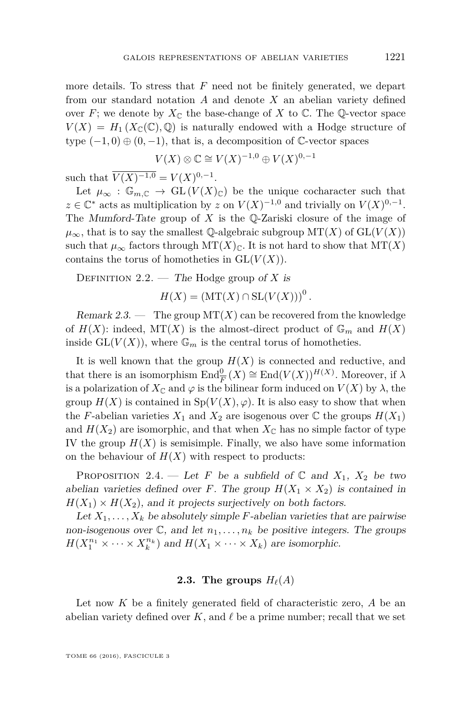more details. To stress that *F* need not be finitely generated, we depart from our standard notation *A* and denote *X* an abelian variety defined over *F*; we denote by  $X_{\mathbb{C}}$  the base-change of X to  $\mathbb{C}$ . The Q-vector space  $V(X) = H_1(X_{\mathbb{C}}(\mathbb{C}), \mathbb{Q})$  is naturally endowed with a Hodge structure of type  $(-1,0) \oplus (0,-1)$ , that is, a decomposition of  $\mathbb{C}$ -vector spaces

$$
V(X) \otimes \mathbb{C} \cong V(X)^{-1,0} \oplus V(X)^{0,-1}
$$

such that  $\overline{V(X)^{-1,0}} = V(X)^{0,-1}$ .

Let  $\mu_{\infty} : \mathbb{G}_{m,\mathbb{C}} \to \mathrm{GL}(V(X)_{\mathbb{C}})$  be the unique cocharacter such that  $z \in \mathbb{C}^*$  acts as multiplication by  $z$  on  $V(X)^{-1,0}$  and trivially on  $V(X)^{0,-1}$ . The Mumford-Tate group of *X* is the Q-Zariski closure of the image of  $\mu_{\infty}$ , that is to say the smallest Q-algebraic subgroup MT(*X*) of GL(*V*(*X*)) such that  $\mu_{\infty}$  factors through MT(*X*)<sub>C</sub>. It is not hard to show that MT(*X*) contains the torus of homotheties in  $GL(V(X))$ .

Definition 2.2. — The Hodge group of *X* is

 $H(X) = (MT(X) \cap SL(V(X)))^{0}$ .

Remark 2.3. — The group  $MT(X)$  can be recovered from the knowledge of  $H(X)$ : indeed,  $MT(X)$  is the almost-direct product of  $\mathbb{G}_m$  and  $H(X)$ inside  $GL(V(X))$ , where  $\mathbb{G}_m$  is the central torus of homotheties.

It is well known that the group  $H(X)$  is connected and reductive, and that there is an isomorphism  $\text{End}_{\overline{F}}^{0}(X) \cong \text{End}(V(X))^{H(X)}$ . Moreover, if  $\lambda$ is a polarization of  $X_{\mathbb{C}}$  and  $\varphi$  is the bilinear form induced on  $V(X)$  by  $\lambda$ , the group  $H(X)$  is contained in  $Sp(V(X), \varphi)$ . It is also easy to show that when the *F*-abelian varieties  $X_1$  and  $X_2$  are isogenous over  $\mathbb C$  the groups  $H(X_1)$ and  $H(X_2)$  are isomorphic, and that when  $X_{\mathbb{C}}$  has no simple factor of type IV the group  $H(X)$  is semisimple. Finally, we also have some information on the behaviour of  $H(X)$  with respect to products:

PROPOSITION 2.4. — Let *F* be a subfield of  $\mathbb{C}$  and  $X_1$ ,  $X_2$  be two abelian varieties defined over *F*. The group  $H(X_1 \times X_2)$  is contained in  $H(X_1) \times H(X_2)$ , and it projects surjectively on both factors.

Let  $X_1, \ldots, X_k$  be absolutely simple *F*-abelian varieties that are pairwise non-isogenous over  $\mathbb{C}$ , and let  $n_1, \ldots, n_k$  be positive integers. The groups  $H(X_1^{n_1} \times \cdots \times X_k^{n_k})$  and  $H(X_1 \times \cdots \times X_k)$  are isomorphic.

#### **2.3.** The groups  $H_{\ell}(A)$

Let now *K* be a finitely generated field of characteristic zero, *A* be an abelian variety defined over  $K$ , and  $\ell$  be a prime number; recall that we set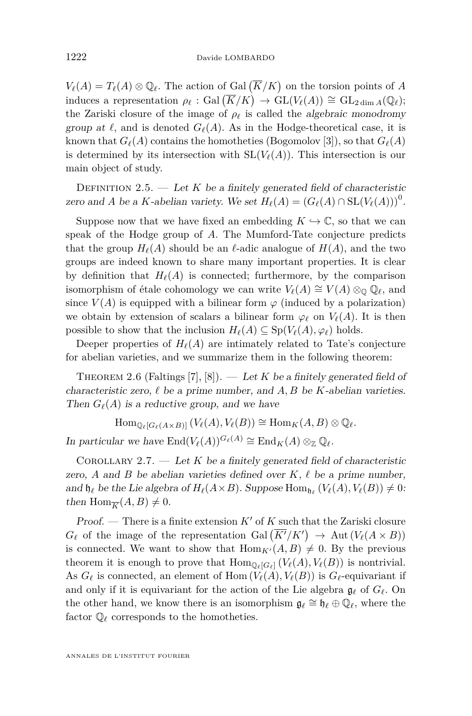$V_{\ell}(A) = T_{\ell}(A) \otimes \mathbb{Q}_{\ell}$ . The action of Gal  $(\overline{K}/K)$  on the torsion points of *A* induces a representation  $\rho_{\ell}$  : Gal  $(\overline{K}/K) \rightarrow GL(V_{\ell}(A)) \cong GL_{2 \dim A}(\mathbb{Q}_{\ell});$ the Zariski closure of the image of  $\rho_{\ell}$  is called the algebraic monodromy group at  $\ell$ , and is denoted  $G_{\ell}(A)$ . As in the Hodge-theoretical case, it is known that  $G_{\ell}(A)$  contains the homotheties (Bogomolov [\[3\]](#page-27-1)), so that  $G_{\ell}(A)$ is determined by its intersection with  $SL(V<sub>\ell</sub>(A))$ . This intersection is our main object of study.

<span id="page-6-0"></span>DEFINITION 2.5.  $-$  Let *K* be a finitely generated field of characteristic zero and *A* be a *K*-abelian variety. We set  $H_\ell(A) = (G_\ell(A) \cap SL(V_\ell(A)))^0$ .

Suppose now that we have fixed an embedding  $K \hookrightarrow \mathbb{C}$ , so that we can speak of the Hodge group of *A*. The Mumford-Tate conjecture predicts that the group  $H_\ell(A)$  should be an  $\ell$ -adic analogue of  $H(A)$ , and the two groups are indeed known to share many important properties. It is clear by definition that  $H_{\ell}(A)$  is connected; furthermore, by the comparison isomorphism of étale cohomology we can write  $V_{\ell}(A) \cong V(A) \otimes_{\mathbb{Q}} \mathbb{Q}_{\ell}$ , and since  $V(A)$  is equipped with a bilinear form  $\varphi$  (induced by a polarization) we obtain by extension of scalars a bilinear form  $\varphi_{\ell}$  on  $V_{\ell}(A)$ . It is then possible to show that the inclusion  $H_\ell(A) \subseteq Sp(V_\ell(A), \varphi_\ell)$  holds.

Deeper properties of  $H_\ell(A)$  are intimately related to Tate's conjecture for abelian varieties, and we summarize them in the following theorem:

THEOREM 2.6 (Faltings [\[7\]](#page-28-6), [\[8\]](#page-28-7)). — Let *K* be a finitely generated field of characteristic zero,  $\ell$  be a prime number, and  $A, B$  be  $K$ -abelian varieties. Then  $G_{\ell}(A)$  is a reductive group, and we have

 $\text{Hom}_{\mathbb{Q}_{\ell}[G_{\ell}(A\times B)]} (V_{\ell}(A), V_{\ell}(B)) \cong \text{Hom}_K(A, B) \otimes \mathbb{Q}_{\ell}.$ 

In particular we have  $\text{End}(V_{\ell}(A))^{G_{\ell}(A)} \cong \text{End}_{K}(A) \otimes_{\mathbb{Z}} \mathbb{O}_{\ell}$ .

<span id="page-6-1"></span>COROLLARY 2.7.  $\qquad$  Let *K* be a finitely generated field of characteristic zero,  $A$  and  $B$  be abelian varieties defined over  $K, \ell$  be a prime number, and  $\mathfrak{h}_\ell$  be the Lie algebra of  $H_\ell(A \times B)$ . Suppose  $\text{Hom}_{\mathfrak{h}_\ell}(V_\ell(A), V_\ell(B)) \neq 0$ : then  $\text{Hom}_{\overline{K}}(A, B) \neq 0$ .

Proof. — There is a finite extension  $K'$  of  $K$  such that the Zariski closure  $G_{\ell}$  of the image of the representation Gal  $(\overline{K'}/K') \rightarrow \text{Aut}(V_{\ell}(A \times B))$ is connected. We want to show that  $\text{Hom}_{K'}(A, B) \neq 0$ . By the previous theorem it is enough to prove that  $\text{Hom}_{\mathbb{Q}_{\ell}[G_{\ell}]} (V_{\ell}(A), V_{\ell}(B))$  is nontrivial. As  $G_{\ell}$  is connected, an element of Hom  $(V_{\ell}(A), V_{\ell}(B))$  is  $G_{\ell}$ -equivariant if and only if it is equivariant for the action of the Lie algebra  $\mathfrak{g}_{\ell}$  of  $G_{\ell}$ . On the other hand, we know there is an isomorphism  $\mathfrak{g}_{\ell} \cong \mathfrak{h}_{\ell} \oplus \mathbb{Q}_{\ell}$ , where the factor  $\mathbb{Q}_\ell$  corresponds to the homotheties.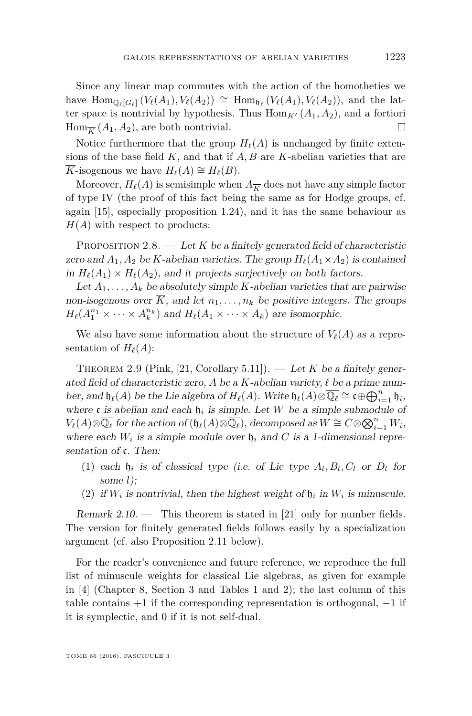Since any linear map commutes with the action of the homotheties we have  $\text{Hom}_{\mathbb{Q}_{\ell}[G_{\ell}]}(V_{\ell}(A_1), V_{\ell}(A_2)) \cong \text{Hom}_{\mathfrak{h}_{\ell}}(V_{\ell}(A_1), V_{\ell}(A_2)),$  and the latter space is nontrivial by hypothesis. Thus  $\text{Hom}_{K'}(A_1, A_2)$ , and a fortiori  $\text{Hom}_{\overline{K}}(A_1, A_2)$ , are both nontrivial.

Notice furthermore that the group  $H_\ell(A)$  is unchanged by finite extensions of the base field *K*, and that if *A, B* are *K*-abelian varieties that are *K*-isogenous we have  $H_\ell(A) \cong H_\ell(B)$ .

Moreover,  $H_{\ell}(A)$  is semisimple when  $A_{\overline{k}}$  does not have any simple factor of type IV (the proof of this fact being the same as for Hodge groups, cf. again [\[15\]](#page-28-5), especially proposition 1.24), and it has the same behaviour as  $H(A)$  with respect to products:

PROPOSITION  $2.8.$  — Let K be a finitely generated field of characteristic zero and  $A_1, A_2$  be *K*-abelian varieties. The group  $H_\ell(A_1 \times A_2)$  is contained in  $H_{\ell}(A_1) \times H_{\ell}(A_2)$ , and it projects surjectively on both factors.

Let  $A_1, \ldots, A_k$  be absolutely simple *K*-abelian varieties that are pairwise non-isogenous over  $\overline{K}$ , and let  $n_1, \ldots, n_k$  be positive integers. The groups  $H_{\ell}(A_1^{n_1} \times \cdots \times A_k^{n_k})$  and  $H_{\ell}(A_1 \times \cdots \times A_k)$  are isomorphic.

We also have some information about the structure of  $V_{\ell}(A)$  as a representation of  $H_\ell(A)$ :

<span id="page-7-0"></span>THEOREM 2.9 (Pink, [\[21,](#page-28-2) Corollary 5.11]). — Let K be a finitely generated field of characteristic zero, A be a  $K$ -abelian variety,  $\ell$  be a prime number, and  $\mathfrak{h}_{\ell}(A)$  be the Lie algebra of  $H_{\ell}(A)$ . Write  $\mathfrak{h}_{\ell}(A) \otimes \overline{\mathbb{Q}_{\ell}} \cong \mathfrak{c} \oplus \bigoplus_{i=1}^{n} \mathfrak{h}_{i}$ , where c is abelian and each  $\mathfrak{h}_i$  is simple. Let W be a simple submodule of  $V_{\ell}(A) \otimes \overline{\mathbb{Q}_{\ell}}$  for the action of  $(\mathfrak{h}_{\ell}(A) \otimes \overline{\mathbb{Q}_{\ell}})$ , decomposed as  $W \cong C \otimes \bigotimes_{i=1}^{n} W_i$ , where each  $W_i$  is a simple module over  $\mathfrak{h}_i$  and C is a 1-dimensional representation of c. Then:

- (1) each  $\mathfrak{h}_i$  is of classical type (i.e. of Lie type  $A_l, B_l, C_l$  or  $D_l$  for some *l*);
- (2) if  $W_i$  is nontrivial, then the highest weight of  $\mathfrak{h}_i$  in  $W_i$  is minuscule.

Remark  $2.10$ . — This theorem is stated in [\[21\]](#page-28-2) only for number fields. The version for finitely generated fields follows easily by a specialization argument (cf. also Proposition [2.11](#page-8-0) below).

For the reader's convenience and future reference, we reproduce the full list of minuscule weights for classical Lie algebras, as given for example in [\[4\]](#page-27-0) (Chapter 8, Section 3 and Tables 1 and 2); the last column of this table contains  $+1$  if the corresponding representation is orthogonal,  $-1$  if it is symplectic, and 0 if it is not self-dual.

TOME 66 (2016), FASCICULE 3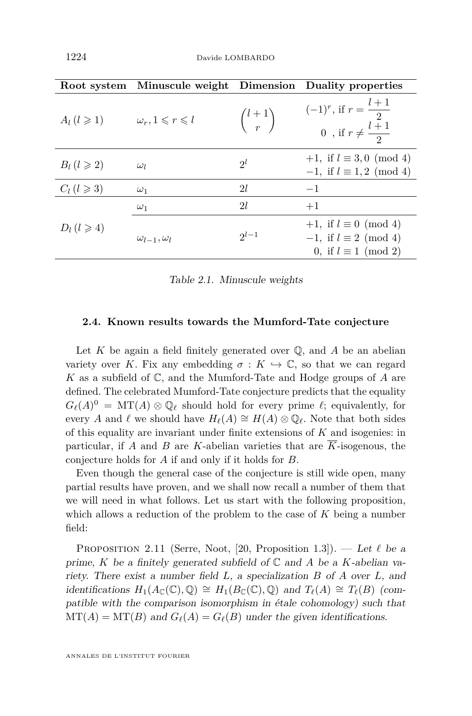| Root system             | Minuscule weight Dimension            |                  | Duality properties                                                                                |
|-------------------------|---------------------------------------|------------------|---------------------------------------------------------------------------------------------------|
| $A_l$ $(l \geqslant 1)$ | $\omega_r, 1 \leqslant r \leqslant l$ | $\binom{l+1}{r}$ | $(-1)^{r}$ , if $r = \frac{l+1}{2}$<br>0, if $r \neq \frac{l+1}{2}$                               |
| $B_l$ $(l \geqslant 2)$ | $\omega_l$                            | $2^l$            | $+1$ , if $l \equiv 3,0 \pmod{4}$<br>$-1$ , if $l \equiv 1,2 \pmod{4}$                            |
| $C_l$ $(l \geqslant 3)$ | $\omega_1$                            | 21               | $-1$                                                                                              |
| $D_l$ $(l \geqslant 4)$ | $\omega_1$                            | 21               | $+1$                                                                                              |
|                         | $\omega_{l-1}, \omega_l$              | $2^{l-1}$        | $+1$ , if $l \equiv 0 \pmod{4}$<br>$-1$ , if $l \equiv 2 \pmod{4}$<br>0, if $l \equiv 1 \pmod{2}$ |

Table 2.1. Minuscule weights

#### <span id="page-8-1"></span>**2.4. Known results towards the Mumford-Tate conjecture**

Let *K* be again a field finitely generated over Q, and *A* be an abelian variety over *K*. Fix any embedding  $\sigma: K \hookrightarrow \mathbb{C}$ , so that we can regard *K* as a subfield of C, and the Mumford-Tate and Hodge groups of *A* are defined. The celebrated Mumford-Tate conjecture predicts that the equality  $G_{\ell}(A)^0 = \mathrm{MT}(A) \otimes \mathbb{Q}_{\ell}$  should hold for every prime  $\ell$ ; equivalently, for every *A* and  $\ell$  we should have  $H_{\ell}(A) \cong H(A) \otimes \mathbb{Q}_{\ell}$ . Note that both sides of this equality are invariant under finite extensions of *K* and isogenies: in particular, if *A* and *B* are *K*-abelian varieties that are  $\overline{K}$ -isogenous, the conjecture holds for *A* if and only if it holds for *B*.

Even though the general case of the conjecture is still wide open, many partial results have proven, and we shall now recall a number of them that we will need in what follows. Let us start with the following proposition, which allows a reduction of the problem to the case of *K* being a number field:

<span id="page-8-0"></span>PROPOSITION 2.11 (Serre, Noot, [\[20,](#page-28-8) Proposition 1.3]). — Let  $\ell$  be a prime, *K* be a finitely generated subfield of  $\mathbb C$  and *A* be a *K*-abelian variety. There exist a number field *L*, a specialization *B* of *A* over *L*, and *identifications*  $H_1(A_{\mathbb{C}}(\mathbb{C}), \mathbb{Q}) \cong H_1(B_{\mathbb{C}}(\mathbb{C}), \mathbb{Q})$  and  $T_\ell(A) \cong T_\ell(B)$  (compatible with the comparison isomorphism in étale cohomology) such that  $MT(A) = MT(B)$  and  $G_{\ell}(A) = G_{\ell}(B)$  under the given identifications.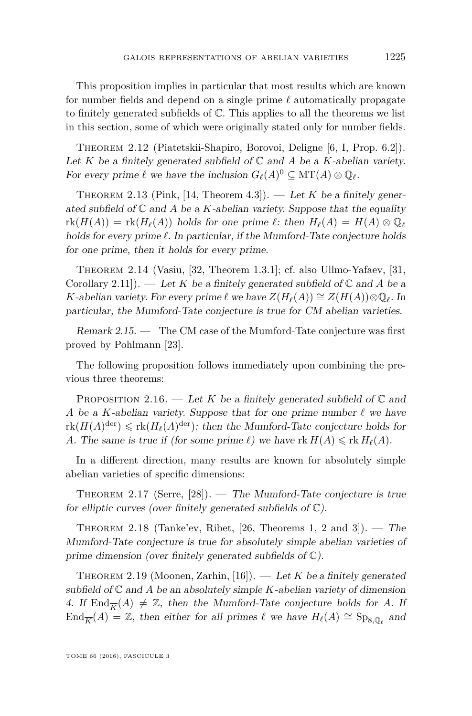This proposition implies in particular that most results which are known for number fields and depend on a single prime  $\ell$  automatically propagate to finitely generated subfields of C. This applies to all the theorems we list in this section, some of which were originally stated only for number fields.

Theorem 2.12 (Piatetskii-Shapiro, Borovoi, Deligne [\[6,](#page-28-9) I, Prop. 6.2]). Let *K* be a finitely generated subfield of  $\mathbb C$  and *A* be a *K*-abelian variety. For every prime  $\ell$  we have the inclusion  $G_{\ell}(A)^0 \subseteq MT(A) \otimes \mathbb{Q}_{\ell}$ .

THEOREM 2.13 (Pink, [\[14,](#page-28-10) Theorem 4.3]). — Let  $K$  be a finitely generated subfield of  $\mathbb C$  and  $A$  be a  $K$ -abelian variety. Suppose that the equality  $\text{rk}(H(A)) = \text{rk}(H_{\ell}(A))$  holds for one prime  $\ell$ : then  $H_{\ell}(A) = H(A) \otimes \mathbb{Q}_{\ell}$ holds for every prime  $\ell$ . In particular, if the Mumford-Tate conjecture holds for one prime, then it holds for every prime.

<span id="page-9-2"></span>Theorem 2.14 (Vasiu, [\[32,](#page-29-0) Theorem 1.3.1]; cf. also Ullmo-Yafaev, [\[31,](#page-29-1) Corollary 2.11]). — Let K be a finitely generated subfield of  $\mathbb C$  and A be a *K*-abelian variety. For every prime  $\ell$  we have  $Z(H_{\ell}(A)) \cong Z(H(A)) \otimes \mathbb{Q}_{\ell}$ . In particular, the Mumford-Tate conjecture is true for CM abelian varieties.

Remark 2.15. — The CM case of the Mumford-Tate conjecture was first proved by Pohlmann [\[23\]](#page-28-11).

The following proposition follows immediately upon combining the previous three theorems:

<span id="page-9-3"></span>PROPOSITION 2.16. — Let *K* be a finitely generated subfield of  $\mathbb{C}$  and *A* be a *K*-abelian variety. Suppose that for one prime number  $\ell$  we have  $\text{rk}(H(A)^{\text{der}}) \leq \text{rk}(H_{\ell}(A)^{\text{der}})$ : then the Mumford-Tate conjecture holds for *A*. The same is true if (for some prime  $\ell$ ) we have rk  $H(A) \leq \text{rk } H_{\ell}(A)$ .

In a different direction, many results are known for absolutely simple abelian varieties of specific dimensions:

<span id="page-9-0"></span>THEOREM 2.17 (Serre,  $[28]$ ). — The Mumford-Tate conjecture is true for elliptic curves (over finitely generated subfields of  $\mathbb{C}$ ).

<span id="page-9-1"></span>THEOREM 2.18 (Tanke'ev, Ribet, [\[26,](#page-28-13) Theorems 1, 2 and 3]). — The Mumford-Tate conjecture is true for absolutely simple abelian varieties of prime dimension (over finitely generated subfields of C).

<span id="page-9-4"></span>THEOREM 2.19 (Moonen, Zarhin, [\[16\]](#page-28-14)). — Let K be a finitely generated subfield of  $\mathbb C$  and A be an absolutely simple K-abelian variety of dimension 4. If  $\text{End}_{\overline{K}}(A) \neq \mathbb{Z}$ , then the Mumford-Tate conjecture holds for A. If End<sub>K</sub>(*A*) = Z, then either for all primes  $\ell$  we have  $H_{\ell}(A) \cong Sp_{8,\mathbb{Q}_{\ell}}$  and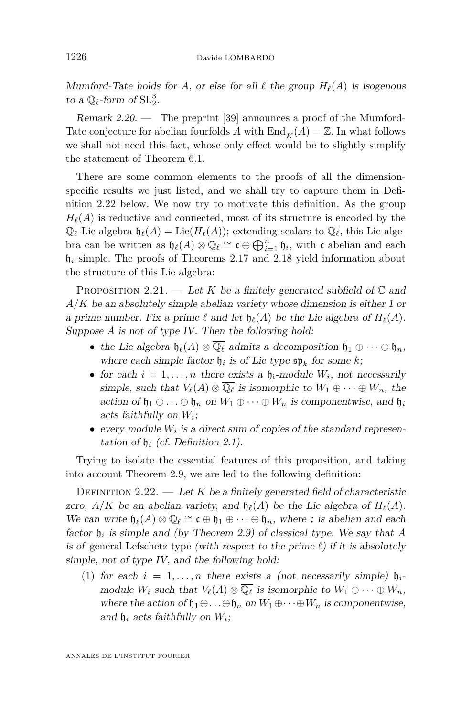Mumford-Tate holds for A, or else for all  $\ell$  the group  $H_{\ell}(A)$  is isogenous to a  $\mathbb{Q}_\ell$ -form of  $\mathrm{SL}_2^3$ .

Remark 2.20. — The preprint [\[39\]](#page-29-2) announces a proof of the Mumford-Tate conjecture for abelian fourfolds A with  $\text{End}_{\overline{K}}(A) = \mathbb{Z}$ . In what follows we shall not need this fact, whose only effect would be to slightly simplify the statement of Theorem [6.1.](#page-25-0)

There are some common elements to the proofs of all the dimensionspecific results we just listed, and we shall try to capture them in Definition [2.22](#page-10-0) below. We now try to motivate this definition. As the group  $H_{\ell}(A)$  is reductive and connected, most of its structure is encoded by the  $\mathbb{Q}_\ell$ -Lie algebra  $\mathfrak{h}_\ell(A) = \text{Lie}(H_\ell(A))$ ; extending scalars to  $\overline{\mathbb{Q}_\ell}$ , this Lie algebra can be written as  $\mathfrak{h}_{\ell}(A) \otimes \overline{\mathbb{Q}_{\ell}} \cong \mathfrak{c} \oplus \bigoplus_{i=1}^{n} \mathfrak{h}_i$ , with  $\mathfrak{c}$  abelian and each  $\mathfrak{h}_i$  simple. The proofs of Theorems [2.17](#page-9-0) and [2.18](#page-9-1) yield information about the structure of this Lie algebra:

PROPOSITION 2.21. — Let K be a finitely generated subfield of  $\mathbb C$  and *A/K* be an absolutely simple abelian variety whose dimension is either 1 or a prime number. Fix a prime  $\ell$  and let  $\mathfrak{h}_{\ell}(A)$  be the Lie algebra of  $H_{\ell}(A)$ . Suppose *A* is not of type IV. Then the following hold:

- the Lie algebra  $\mathfrak{h}_{\ell}(A) \otimes \overline{\mathbb{Q}_{\ell}}$  admits a decomposition  $\mathfrak{h}_1 \oplus \cdots \oplus \mathfrak{h}_n$ , where each simple factor  $\mathfrak{h}_i$  is of Lie type  $\mathfrak{sp}_k$  for some k;
- for each  $i = 1, \ldots, n$  there exists a  $\mathfrak{h}_i$ -module  $W_i$ , not necessarily simple, such that  $V_{\ell}(A) \otimes \overline{\mathbb{Q}_{\ell}}$  is isomorphic to  $W_1 \oplus \cdots \oplus W_n$ , the action of  $\mathfrak{h}_1 \oplus \ldots \oplus \mathfrak{h}_n$  on  $W_1 \oplus \cdots \oplus W_n$  is componentwise, and  $\mathfrak{h}_i$ acts faithfully on *W<sup>i</sup>* ;
- every module  $W_i$  is a direct sum of copies of the standard representation of  $\mathfrak{h}_i$  (cf. Definition [2.1\)](#page-4-0).

Trying to isolate the essential features of this proposition, and taking into account Theorem [2.9,](#page-7-0) we are led to the following definition:

<span id="page-10-0"></span>DEFINITION 2.22.  $-$  Let K be a finitely generated field of characteristic zero,  $A/K$  be an abelian variety, and  $\mathfrak{h}_{\ell}(A)$  be the Lie algebra of  $H_{\ell}(A)$ . We can write  $\mathfrak{h}_{\ell}(A) \otimes \overline{\mathbb{Q}_{\ell}} \cong \mathfrak{c} \oplus \mathfrak{h}_1 \oplus \cdots \oplus \mathfrak{h}_n$ , where  $\mathfrak{c}$  is abelian and each factor h*<sup>i</sup>* is simple and (by Theorem [2.9\)](#page-7-0) of classical type. We say that *A* is of general Lefschetz type (with respect to the prime  $\ell$ ) if it is absolutely simple, not of type IV, and the following hold:

(1) for each  $i = 1, \ldots, n$  there exists a (not necessarily simple)  $\mathfrak{h}_{i}$ module  $W_i$  such that  $V_\ell(A) \otimes \overline{\mathbb{Q}_\ell}$  is isomorphic to  $W_1 \oplus \cdots \oplus W_n$ , where the action of  $\mathfrak{h}_1 \oplus \ldots \oplus \mathfrak{h}_n$  on  $W_1 \oplus \cdots \oplus W_n$  is componentwise, and  $\mathfrak{h}_i$  acts faithfully on  $W_i$ ;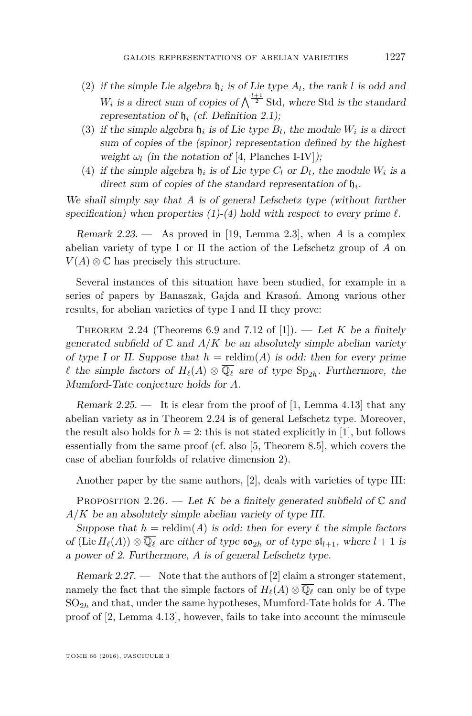- (2) if the simple Lie algebra  $\mathfrak{h}_i$  is of Lie type  $A_l$ , the rank *l* is odd and  $W_i$  is a direct sum of copies of  $\bigwedge^{\frac{l+1}{2}}$  Std, where Std is the standard representation of h*<sup>i</sup>* (cf. Definition [2.1\)](#page-4-0);
- (3) if the simple algebra  $\mathfrak{h}_i$  is of Lie type  $B_l$ , the module  $W_i$  is a direct sum of copies of the (spinor) representation defined by the highest weight  $\omega_l$  (in the notation of [\[4,](#page-27-0) Planches I-IV]);
- (4) if the simple algebra  $\mathfrak{h}_i$  is of Lie type  $C_l$  or  $D_l$ , the module  $W_i$  is a direct sum of copies of the standard representation of  $\mathfrak{h}_i$ .

We shall simply say that *A* is of general Lefschetz type (without further specification) when properties  $(1)-(4)$  hold with respect to every prime  $\ell$ .

Remark 2.23. — As proved in [\[19,](#page-28-15) Lemma 2.3], when *A* is a complex abelian variety of type I or II the action of the Lefschetz group of *A* on  $V(A) \otimes \mathbb{C}$  has precisely this structure.

Several instances of this situation have been studied, for example in a series of papers by Banaszak, Gajda and Krasoń. Among various other results, for abelian varieties of type I and II they prove:

<span id="page-11-0"></span>THEOREM 2.24 (Theorems 6.9 and 7.12 of [\[1\]](#page-27-2)). — Let *K* be a finitely generated subfield of  $\mathbb C$  and  $A/K$  be an absolutely simple abelian variety of type I or II. Suppose that  $h =$  reldim(A) is odd: then for every prime *l* the simple factors of  $H_\ell(A) \otimes \overline{\mathbb{Q}_\ell}$  are of type  $\text{Sp}_{2h}$ . Furthermore, the Mumford-Tate conjecture holds for *A*.

Remark 2.25.  $\frac{1}{1}$  It is clear from the proof of [\[1,](#page-27-2) Lemma 4.13] that any abelian variety as in Theorem [2.24](#page-11-0) is of general Lefschetz type. Moreover, the result also holds for  $h = 2$ : this is not stated explicitly in [\[1\]](#page-27-2), but follows essentially from the same proof (cf. also [\[5,](#page-28-16) Theorem 8.5], which covers the case of abelian fourfolds of relative dimension 2).

Another paper by the same authors, [\[2\]](#page-27-3), deals with varieties of type III:

<span id="page-11-1"></span>PROPOSITION 2.26. — Let K be a finitely generated subfield of  $\mathbb C$  and *A/K* be an absolutely simple abelian variety of type III.

Suppose that  $h =$  reldim(A) is odd: then for every  $\ell$  the simple factors of (Lie  $H_\ell(A)$ )  $\otimes \overline{\mathbb{Q}_\ell}$  are either of type  $\mathfrak{so}_{2h}$  or of type  $\mathfrak{sl}_{l+1}$ , where  $l+1$  is a power of 2. Furthermore, *A* is of general Lefschetz type.

Remark  $2.27.$  — Note that the authors of [\[2\]](#page-27-3) claim a stronger statement, namely the fact that the simple factors of  $H_\ell(A) \otimes \overline{\mathbb{Q}_\ell}$  can only be of type SO2*<sup>h</sup>* and that, under the same hypotheses, Mumford-Tate holds for *A*. The proof of [\[2,](#page-27-3) Lemma 4.13], however, fails to take into account the minuscule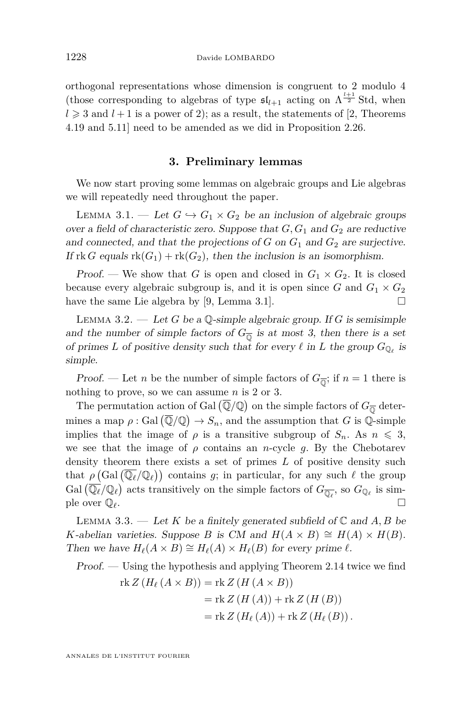orthogonal representations whose dimension is congruent to 2 modulo 4 (those corresponding to algebras of type  $\mathfrak{sl}_{l+1}$  acting on  $\Lambda^{\frac{l+1}{2}}$  Std, when  $l \geq 3$  and  $l + 1$  is a power of 2); as a result, the statements of [\[2,](#page-27-3) Theorems 4.19 and 5.11] need to be amended as we did in Proposition [2.26.](#page-11-1)

#### **3. Preliminary lemmas**

<span id="page-12-0"></span>We now start proving some lemmas on algebraic groups and Lie algebras we will repeatedly need throughout the paper.

<span id="page-12-1"></span>LEMMA 3.1. — Let  $G \hookrightarrow G_1 \times G_2$  be an inclusion of algebraic groups over a field of characteristic zero. Suppose that  $G, G_1$  and  $G_2$  are reductive and connected, and that the projections of  $G$  on  $G_1$  and  $G_2$  are surjective. If  $rk G$  equals  $rk(G_1) + rk(G_2)$ , then the inclusion is an isomorphism.

Proof. — We show that *G* is open and closed in  $G_1 \times G_2$ . It is closed because every algebraic subgroup is, and it is open since  $G$  and  $G_1 \times G_2$ have the same Lie algebra by [\[9,](#page-28-17) Lemma 3.1].  $\square$ 

<span id="page-12-2"></span>Lemma 3.2. — Let *G* be a Q-simple algebraic group. If *G* is semisimple and the number of simple factors of  $G_{\overline{0}}$  is at most 3, then there is a set of primes *L* of positive density such that for every  $\ell$  in *L* the group  $G_{\mathbb{Q}_{\ell}}$  is simple.

Proof. — Let *n* be the number of simple factors of  $G_{\overline{0}}$ ; if  $n = 1$  there is nothing to prove, so we can assume *n* is 2 or 3.

The permutation action of Gal  $(\overline{\mathbb{Q}}/\mathbb{Q})$  on the simple factors of  $G_{\overline{\mathbb{Q}}}$  determines a map  $\rho$ : Gal  $(\overline{\mathbb{Q}}/\mathbb{Q}) \to S_n$ , and the assumption that *G* is  $\mathbb{Q}$ -simple implies that the image of  $\rho$  is a transitive subgroup of  $S_n$ . As  $n \leq 3$ , we see that the image of  $\rho$  contains an *n*-cycle  $g$ . By the Chebotarev density theorem there exists a set of primes *L* of positive density such that  $\rho$  (Gal  $(\overline{\mathbb{Q}_\ell}/\mathbb{Q}_\ell)$ ) contains *g*; in particular, for any such  $\ell$  the group Gal  $(\overline{\mathbb{Q}_\ell}/\mathbb{Q}_\ell)$  acts transitively on the simple factors of  $G_{\overline{\mathbb{Q}_\ell}}$ , so  $G_{\mathbb{Q}_\ell}$  is simple over  $\mathbb{Q}_\ell$ .

LEMMA 3.3. — Let K be a finitely generated subfield of  $\mathbb C$  and  $A, B$  be *K*-abelian varieties. Suppose *B* is CM and  $H(A \times B) \cong H(A) \times H(B)$ . Then we have  $H_\ell(A \times B) \cong H_\ell(A) \times H_\ell(B)$  for every prime  $\ell$ .

Proof. — Using the hypothesis and applying Theorem [2.14](#page-9-2) twice we find  $\text{rk } Z(H_{\ell}(A \times B)) = \text{rk } Z(H(A \times B))$ 

$$
= \text{rk } Z(H(A)) + \text{rk } Z(H(B))
$$

$$
= \text{rk } Z(H_{\ell}(A)) + \text{rk } Z(H_{\ell}(B)).
$$

ANNALES DE L'INSTITUT FOURIER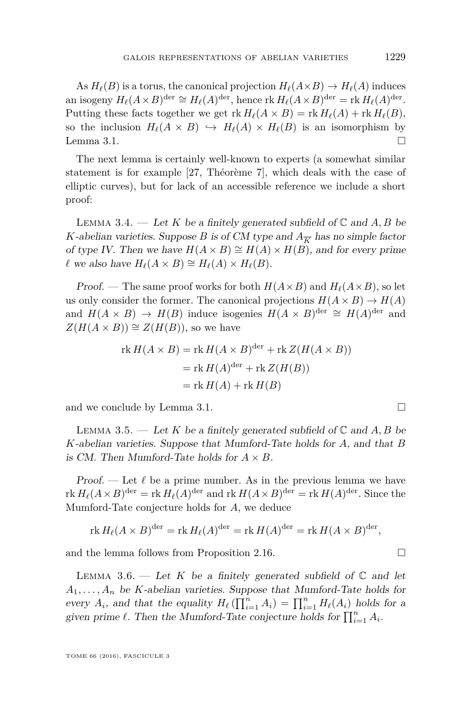As  $H_\ell(B)$  is a torus, the canonical projection  $H_\ell(A \times B) \to H_\ell(A)$  induces an isogeny  $H_{\ell}(A \times B)^{\text{der}} \cong H_{\ell}(A)^{\text{der}},$  hence rk  $H_{\ell}(A \times B)^{\text{der}} =$  rk  $H_{\ell}(A)^{\text{der}}$ . Putting these facts together we get  $\text{rk } H_\ell(A \times B) = \text{rk } H_\ell(A) + \text{rk } H_\ell(B)$ , so the inclusion  $H_\ell(A \times B) \hookrightarrow H_\ell(A) \times H_\ell(B)$  is an isomorphism by Lemma [3.1.](#page-12-1)  $\Box$ 

The next lemma is certainly well-known to experts (a somewhat similar statement is for example [\[27,](#page-28-18) Théorème 7], which deals with the case of elliptic curves), but for lack of an accessible reference we include a short proof:

<span id="page-13-1"></span>LEMMA 3.4. — Let  $K$  be a finitely generated subfield of  $\mathbb C$  and  $A, B$  be *K*-abelian varieties. Suppose *B* is of CM type and  $A_{\overline{K}}$  has no simple factor of type IV. Then we have  $H(A \times B) \cong H(A) \times H(B)$ , and for every prime  $\ell$  we also have  $H_{\ell}(A \times B) \cong H_{\ell}(A) \times H_{\ell}(B)$ .

Proof. — The same proof works for both  $H(A \times B)$  and  $H_\ell(A \times B)$ , so let us only consider the former. The canonical projections  $H(A \times B) \to H(A)$ and  $H(A \times B) \to H(B)$  induce isogenies  $H(A \times B)^{\text{der}} \cong H(A)^{\text{der}}$  and  $Z(H(A \times B)) \cong Z(H(B))$ , so we have

$$
rk H(A \times B) = rk H(A \times B)^{der} + rk Z(H(A \times B))
$$
  
= rk H(A)<sup>der</sup> + rk Z(H(B))  
= rk H(A) + rk H(B)

and we conclude by Lemma [3.1.](#page-12-1)

<span id="page-13-2"></span>LEMMA 3.5. — Let *K* be a finitely generated subfield of  $\mathbb{C}$  and  $A, B$  be *K*-abelian varieties. Suppose that Mumford-Tate holds for *A*, and that *B* is CM. Then Mumford-Tate holds for  $A \times B$ .

Proof. — Let  $\ell$  be a prime number. As in the previous lemma we have  $\text{rk } H_\ell(A \times B)^{\text{der}} = \text{rk } H_\ell(A)^{\text{der}} \text{ and } \text{rk } H(A \times B)^{\text{der}} = \text{rk } H(A)^{\text{der}}.$  Since the Mumford-Tate conjecture holds for *A*, we deduce

$$
\operatorname{rk} H_\ell(A \times B)^{\operatorname{der}} = \operatorname{rk} H_\ell(A)^{\operatorname{der}} = \operatorname{rk} H(A)^{\operatorname{der}} = \operatorname{rk} H(A \times B)^{\operatorname{der}},
$$

and the lemma follows from Proposition [2.16.](#page-9-3)

<span id="page-13-0"></span>LEMMA 3.6. — Let K be a finitely generated subfield of  $\mathbb C$  and let  $A_1, \ldots, A_n$  be *K*-abelian varieties. Suppose that Mumford-Tate holds for every  $A_i$ , and that the equality  $H_\ell(\prod_{i=1}^n A_i) = \prod_{i=1}^n H_\ell(A_i)$  holds for a given prime  $\ell$ . Then the Mumford-Tate conjecture holds for  $\prod_{i=1}^{n} A_i$ .

TOME 66 (2016), FASCICULE 3

$$
\qquad \qquad \Box
$$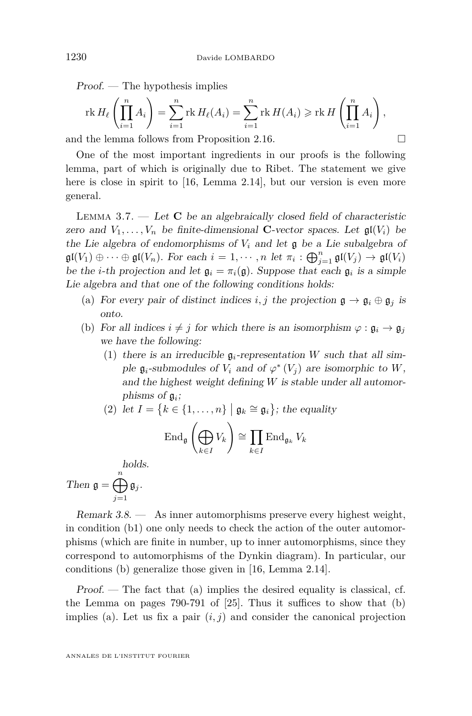Proof. — The hypothesis implies

$$
\operatorname{rk} H_{\ell}\left(\prod_{i=1}^{n} A_{i}\right) = \sum_{i=1}^{n} \operatorname{rk} H_{\ell}(A_{i}) = \sum_{i=1}^{n} \operatorname{rk} H(A_{i}) \geqslant \operatorname{rk} H\left(\prod_{i=1}^{n} A_{i}\right),
$$
  
the lemma follows from Proposition 2.16

and the lemma follows from Proposition [2.16.](#page-9-3)

One of the most important ingredients in our proofs is the following lemma, part of which is originally due to Ribet. The statement we give here is close in spirit to [\[16,](#page-28-14) Lemma 2.14], but our version is even more general.

<span id="page-14-0"></span>LEMMA  $3.7.$  — Let **C** be an algebraically closed field of characteristic zero and  $V_1, \ldots, V_n$  be finite-dimensional **C**-vector spaces. Let  $\mathfrak{gl}(V_i)$  be the Lie algebra of endomorphisms of  $V_i$  and let  $\mathfrak g$  be a Lie subalgebra of  $\mathfrak{gl}(V_1) \oplus \cdots \oplus \mathfrak{gl}(V_n)$ . For each  $i = 1, \cdots, n$  let  $\pi_i : \bigoplus_{j=1}^n \mathfrak{gl}(V_j) \to \mathfrak{gl}(V_i)$ be the *i*-th projection and let  $\mathfrak{g}_i = \pi_i(\mathfrak{g})$ . Suppose that each  $\mathfrak{g}_i$  is a simple Lie algebra and that one of the following conditions holds:

- (a) For every pair of distinct indices *i*, *j* the projection  $\mathfrak{g} \to \mathfrak{g}_i \oplus \mathfrak{g}_j$  is onto.
- (b) For all indices  $i \neq j$  for which there is an isomorphism  $\varphi : \mathfrak{g}_i \to \mathfrak{g}_j$ we have the following:
	- (1) there is an irreducible  $\mathfrak{g}_i$ -representation *W* such that all simple  $\mathfrak{g}_i$ -submodules of  $V_i$  and of  $\varphi^*(V_j)$  are isomorphic to  $W$ , and the highest weight defining *W* is stable under all automorphisms of g*<sup>i</sup>* ;
	- (2) let  $I = \{k \in \{1, ..., n\} \mid \mathfrak{g}_k \cong \mathfrak{g}_i\}$ ; the equality

$$
\operatorname{End}_{\mathfrak{g}}\left(\bigoplus_{k\in I} V_k\right) \cong \prod_{k\in I} \operatorname{End}_{\mathfrak{g}_k} V_k
$$

holds.

Then 
$$
\mathfrak{g} = \bigoplus_{j=1}^n \mathfrak{g}_j
$$
.

Remark 3.8. — As inner automorphisms preserve every highest weight, in condition (b1) one only needs to check the action of the outer automorphisms (which are finite in number, up to inner automorphisms, since they correspond to automorphisms of the Dynkin diagram). In particular, our conditions (b) generalize those given in [\[16,](#page-28-14) Lemma 2.14].

 $Proof.$  — The fact that (a) implies the desired equality is classical, cf. the Lemma on pages 790-791 of [\[25\]](#page-28-19). Thus it suffices to show that (b) implies (a). Let us fix a pair  $(i, j)$  and consider the canonical projection

ANNALES DE L'INSTITUT FOURIER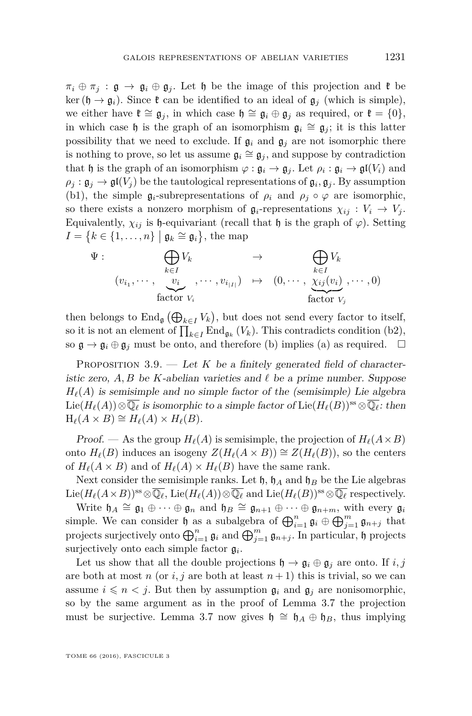$\pi_i \oplus \pi_j : \mathfrak{g} \to \mathfrak{g}_i \oplus \mathfrak{g}_j$ . Let h be the image of this projection and  $\mathfrak{k}$  be ker ( $\mathfrak{h} \to \mathfrak{g}_i$ ). Since  $\mathfrak{k}$  can be identified to an ideal of  $\mathfrak{g}_i$  (which is simple), we either have  $\mathfrak{k} \cong \mathfrak{g}_i$ , in which case  $\mathfrak{h} \cong \mathfrak{g}_i \oplus \mathfrak{g}_i$  as required, or  $\mathfrak{k} = \{0\},\$ in which case h is the graph of an isomorphism  $\mathfrak{g}_i \cong \mathfrak{g}_j$ ; it is this latter possibility that we need to exclude. If  $\mathfrak{g}_i$  and  $\mathfrak{g}_j$  are not isomorphic there is nothing to prove, so let us assume  $\mathfrak{g}_i \cong \mathfrak{g}_j$ , and suppose by contradiction that  $\mathfrak h$  is the graph of an isomorphism  $\varphi : \mathfrak g_i \to \mathfrak g_j$ . Let  $\rho_i : \mathfrak g_i \to \mathfrak{gl}(V_i)$  and  $\rho_j : \mathfrak{g}_j \to \mathfrak{gl}(V_j)$  be the tautological representations of  $\mathfrak{g}_i, \mathfrak{g}_j$ . By assumption (b1), the simple  $\mathfrak{g}_i$ -subrepresentations of  $\rho_i$  and  $\rho_j \circ \varphi$  are isomorphic, so there exists a nonzero morphism of  $\mathfrak{g}_i$ -representations  $\chi_{ij}: V_i \to V_j$ . Equivalently,  $\chi_{ij}$  is h-equivariant (recall that h is the graph of  $\varphi$ ). Setting  $I = \{k \in \{1, \ldots, n\} \mid \mathfrak{g}_k \cong \mathfrak{g}_i\},\$  the map

$$
\Psi: \bigoplus_{k \in I} V_k \longrightarrow \bigoplus_{k \in I} V_k
$$
\n
$$
(v_{i_1}, \cdots, \underbrace{v_i}_{\text{factor } V_i}, \cdots, v_{i_{|I|}}) \mapsto (0, \cdots, \underbrace{\chi_{ij}(v_i)}_{\text{factor } V_j}, \cdots, 0)
$$

then belongs to  $\text{End}_{\mathfrak{g}}(\bigoplus_{k \in I} V_k)$ , but does not send every factor to itself, so it is not an element of  $\prod_{k \in I} \text{End}_{\mathfrak{g}_k}(V_k)$ . This contradicts condition (b2), so  $\mathfrak{g} \to \mathfrak{g}_i \oplus \mathfrak{g}_j$  must be onto, and therefore (b) implies (a) as required.  $\Box$ 

<span id="page-15-0"></span>PROPOSITION  $3.9.$  — Let K be a finitely generated field of characteristic zero,  $A, B$  be *K*-abelian varieties and  $\ell$  be a prime number. Suppose  $H_{\ell}(A)$  is semisimple and no simple factor of the (semisimple) Lie algebra Lie( $H_\ell(A)$ )⊗ $\overline{\mathbb{Q}_\ell}$  is isomorphic to a simple factor of Lie( $H_\ell(B)$ )<sup>ss</sup> ⊗ $\overline{\mathbb{Q}_\ell}$ : then  $H_{\ell}(A \times B) \cong H_{\ell}(A) \times H_{\ell}(B).$ 

Proof. — As the group  $H_\ell(A)$  is semisimple, the projection of  $H_\ell(A \times B)$ onto  $H_\ell(B)$  induces an isogeny  $Z(H_\ell(A \times B)) \cong Z(H_\ell(B))$ , so the centers of  $H_\ell(A \times B)$  and of  $H_\ell(A) \times H_\ell(B)$  have the same rank.

Next consider the semisimple ranks. Let  $\mathfrak{h}$ ,  $\mathfrak{h}_A$  and  $\mathfrak{h}_B$  be the Lie algebras Lie( $H_\ell(A \times B)$ )<sup>ss</sup>⊗ $\overline{\mathbb{Q}_\ell}$ , Lie( $H_\ell(A)$ )⊗ $\overline{\mathbb{Q}_\ell}$  and Lie( $H_\ell(B)$ )<sup>ss</sup>⊗ $\overline{\mathbb{Q}_\ell}$  respectively.

Write  $\mathfrak{h}_A \cong \mathfrak{g}_1 \oplus \cdots \oplus \mathfrak{g}_n$  and  $\mathfrak{h}_B \cong \mathfrak{g}_{n+1} \oplus \cdots \oplus \mathfrak{g}_{n+m}$ , with every  $\mathfrak{g}_i$ simple. We can consider  $\mathfrak{h}$  as a subalgebra of  $\bigoplus_{i=1}^n \mathfrak{g}_i \oplus \bigoplus_{j=1}^m \mathfrak{g}_{n+j}$  that projects surjectively onto  $\bigoplus_{i=1}^n \mathfrak{g}_i$  and  $\bigoplus_{j=1}^m \mathfrak{g}_{n+j}$ . In particular, h projects surjectively onto each simple factor g*<sup>i</sup>* .

Let us show that all the double projections  $\mathfrak{h} \to \mathfrak{g}_i \oplus \mathfrak{g}_j$  are onto. If  $i, j$ are both at most *n* (or *i*, *j* are both at least  $n + 1$ ) this is trivial, so we can assume  $i \leq n \leq j$ . But then by assumption  $\mathfrak{g}_i$  and  $\mathfrak{g}_j$  are nonisomorphic, so by the same argument as in the proof of Lemma [3.7](#page-14-0) the projection must be surjective. Lemma [3.7](#page-14-0) now gives  $\mathfrak{h} \cong \mathfrak{h}_A \oplus \mathfrak{h}_B$ , thus implying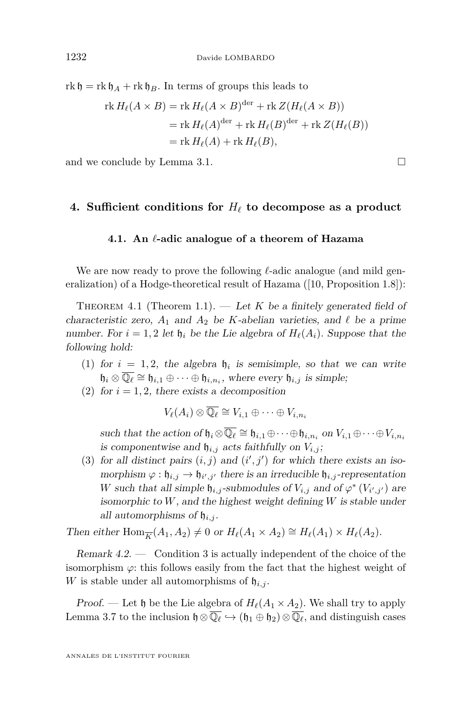$r k \mathfrak{h} = r k \mathfrak{h}_A + r k \mathfrak{h}_B$ . In terms of groups this leads to

$$
\operatorname{rk} H_{\ell}(A \times B) = \operatorname{rk} H_{\ell}(A \times B)^{\operatorname{der}} + \operatorname{rk} Z(H_{\ell}(A \times B))
$$
  
=  $\operatorname{rk} H_{\ell}(A)^{\operatorname{der}} + \operatorname{rk} H_{\ell}(B)^{\operatorname{der}} + \operatorname{rk} Z(H_{\ell}(B))$   
=  $\operatorname{rk} H_{\ell}(A) + \operatorname{rk} H_{\ell}(B),$ 

and we conclude by Lemma [3.1.](#page-12-1)

#### **4. Sufficient conditions for**  $H_\ell$  to decompose as a product

#### **4.1. An** *`***-adic analogue of a theorem of Hazama**

We are now ready to prove the following  $\ell$ -adic analogue (and mild generalization) of a Hodge-theoretical result of Hazama ([\[10,](#page-28-0) Proposition 1.8]):

<span id="page-16-0"></span>THEOREM 4.1 (Theorem [1.1\)](#page-2-0).  $-$  Let K be a finitely generated field of characteristic zero,  $A_1$  and  $A_2$  be *K*-abelian varieties, and  $\ell$  be a prime number. For  $i = 1, 2$  let  $\mathfrak{h}_i$  be the Lie algebra of  $H_\ell(A_i)$ . Suppose that the following hold:

- (1) for  $i = 1, 2$ , the algebra  $\mathfrak{h}_i$  is semisimple, so that we can write  $\mathfrak{h}_i \otimes \overline{\mathbb{Q}_\ell} \cong \mathfrak{h}_{i,1} \oplus \cdots \oplus \mathfrak{h}_{i,n_i}$ , where every  $\mathfrak{h}_{i,j}$  is simple;
- (2) for  $i = 1, 2$ , there exists a decomposition

 $V_{\ell}(A_i) \otimes \overline{\mathbb{Q}_{\ell}} \cong V_{i,1} \oplus \cdots \oplus V_{i,n_i}$ 

such that the action of  $\mathfrak{h}_i \otimes \overline{\mathbb{Q}_\ell} \cong \mathfrak{h}_{i,1} \oplus \cdots \oplus \mathfrak{h}_{i,n_i}$  on  $V_{i,1} \oplus \cdots \oplus V_{i,n_i}$ is componentwise and  $\mathfrak{h}_{i,j}$  acts faithfully on  $V_{i,j}$ ;

(3) for all distinct pairs  $(i, j)$  and  $(i', j')$  for which there exists an isomorphism  $\varphi : \mathfrak{h}_{i,j} \to \mathfrak{h}_{i',j'}$  there is an irreducible  $\mathfrak{h}_{i,j}$ -representation *W* such that all simple  $\mathfrak{h}_{i,j}$ -submodules of  $V_{i,j}$  and of  $\varphi^*(V_{i',j'})$  are isomorphic to *W*, and the highest weight defining *W* is stable under all automorphisms of  $\mathfrak{h}_{i,j}$ .

Then either  $\text{Hom}_{\overline{K}}(A_1, A_2) \neq 0$  or  $H_{\ell}(A_1 \times A_2) \cong H_{\ell}(A_1) \times H_{\ell}(A_2)$ .

Remark  $4.2.$  — Condition 3 is actually independent of the choice of the isomorphism  $\varphi$ : this follows easily from the fact that the highest weight of *W* is stable under all automorphisms of  $\mathfrak{h}_{i,j}$ .

Proof. — Let  $\mathfrak h$  be the Lie algebra of  $H_\ell(A_1 \times A_2)$ . We shall try to apply Lemma [3.7](#page-14-0) to the inclusion  $\mathfrak{h} \otimes \overline{\mathbb{Q}_\ell} \hookrightarrow (\mathfrak{h}_1 \oplus \mathfrak{h}_2) \otimes \overline{\mathbb{Q}_\ell}$ , and distinguish cases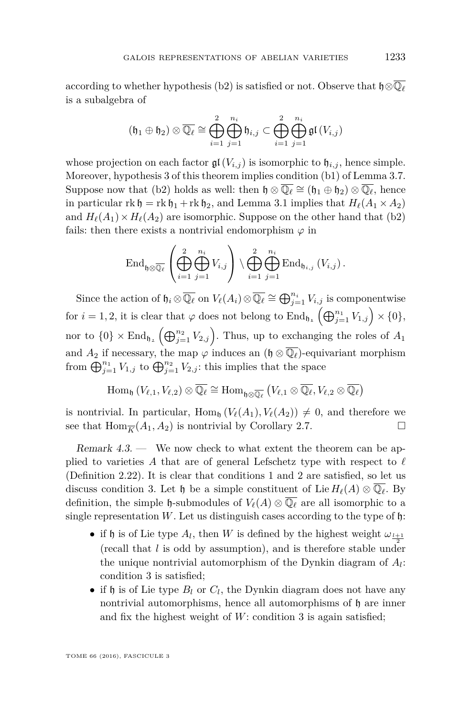according to whether hypothesis (b2) is satisfied or not. Observe that  $\mathfrak{h} \otimes \overline{\mathbb{Q}}_{\ell}$ is a subalgebra of

$$
(\mathfrak{h}_1 \oplus \mathfrak{h}_2) \otimes \overline{\mathbb{Q}_\ell} \cong \bigoplus_{i=1}^2 \bigoplus_{j=1}^{n_i} \mathfrak{h}_{i,j} \subset \bigoplus_{i=1}^2 \bigoplus_{j=1}^{n_i} \mathfrak{gl}(V_{i,j})
$$

whose projection on each factor  $\mathfrak{gl}(V_{i,j})$  is isomorphic to  $\mathfrak{h}_{i,j}$ , hence simple. Moreover, hypothesis 3 of this theorem implies condition (b1) of Lemma [3.7.](#page-14-0) Suppose now that (b2) holds as well: then  $\mathfrak{h} \otimes \overline{\mathbb{Q}_\ell} \cong (\mathfrak{h}_1 \oplus \mathfrak{h}_2) \otimes \overline{\mathbb{Q}_\ell}$ , hence in particular  $\text{rk } \mathfrak{h} = \text{rk } \mathfrak{h}_1 + \text{rk } \mathfrak{h}_2$ , and Lemma [3.1](#page-12-1) implies that  $H_\ell(A_1 \times A_2)$ and  $H_{\ell}(A_1) \times H_{\ell}(A_2)$  are isomorphic. Suppose on the other hand that (b2) fails: then there exists a nontrivial endomorphism  $\varphi$  in

$$
\operatorname{End}_{\mathfrak{h}\otimes\overline{\mathbb{Q}_\ell}}\left(\bigoplus_{i=1}^2\bigoplus_{j=1}^{n_i}V_{i,j}\right)\setminus\bigoplus_{i=1}^2\bigoplus_{j=1}^{n_i}\operatorname{End}_{\mathfrak{h}_{i,j}}\left(V_{i,j}\right).
$$

Since the action of  $\mathfrak{h}_i \otimes \overline{\mathbb{Q}_\ell}$  on  $V_\ell(A_i) \otimes \overline{\mathbb{Q}_\ell} \cong \bigoplus_{j=1}^{n_i} V_{i,j}$  is componentwise for  $i = 1, 2$ , it is clear that  $\varphi$  does not belong to  $\text{End}_{\mathfrak{h}_1}(\bigoplus_{j=1}^{n_1} V_{1,j}) \times \{0\},$ nor to  $\{0\} \times \text{End}_{\mathfrak{h}_2} \left( \bigoplus_{j=1}^{n_2} V_{2,j} \right)$ . Thus, up to exchanging the roles of  $A_1$ and  $A_2$  if necessary, the map  $\varphi$  induces an  $(\mathfrak{h} \otimes \overline{\mathbb{Q}_\ell})$ -equivariant morphism from  $\bigoplus_{j=1}^{n_1} V_{1,j}$  to  $\bigoplus_{j=1}^{n_2} V_{2,j}$ : this implies that the space

$$
\mathrm{Hom}_\mathfrak{h}\left(V_{\ell,1},V_{\ell,2}\right)\otimes \overline{\mathbb{Q}_\ell} \cong \mathrm{Hom}_{\mathfrak{h}\otimes \overline{\mathbb{Q}_\ell}}\left(V_{\ell,1}\otimes \overline{\mathbb{Q}_\ell},V_{\ell,2}\otimes \overline{\mathbb{Q}_\ell}\right)
$$

is nontrivial. In particular,  $\text{Hom}_{\mathfrak{h}}(V_{\ell}(A_1), V_{\ell}(A_2)) \neq 0$ , and therefore we see that  $\text{Hom}_{\overline{K}}(A_1, A_2)$  is nontrivial by Corollary [2.7.](#page-6-1)

<span id="page-17-0"></span>Remark 4.3. — We now check to what extent the theorem can be applied to varieties A that are of general Lefschetz type with respect to  $\ell$ (Definition [2.22\)](#page-10-0). It is clear that conditions 1 and 2 are satisfied, so let us discuss condition 3. Let  $\mathfrak{h}$  be a simple constituent of Lie  $H_{\ell}(A) \otimes \mathbb{Q}_{\ell}$ . By definition, the simple  $\mathfrak{h}$ -submodules of  $V_{\ell}(A) \otimes \overline{\mathbb{Q}_{\ell}}$  are all isomorphic to a single representation  $W$ . Let us distinguish cases according to the type of  $\mathfrak h$ :

- if h is of Lie type  $A_l$ , then *W* is defined by the highest weight  $\omega_{l+1}$ (recall that *l* is odd by assumption), and is therefore stable under the unique nontrivial automorphism of the Dynkin diagram of *A<sup>l</sup>* : condition 3 is satisfied;
- if  $\mathfrak h$  is of Lie type  $B_l$  or  $C_l$ , the Dynkin diagram does not have any nontrivial automorphisms, hence all automorphisms of h are inner and fix the highest weight of *W*: condition 3 is again satisfied;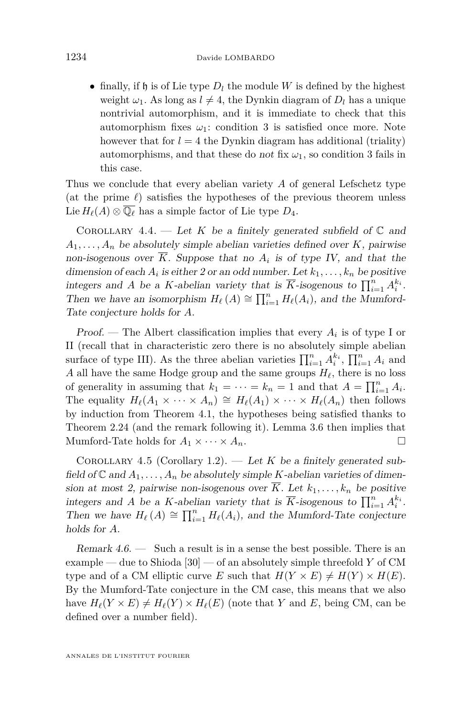• finally, if  $\mathfrak h$  is of Lie type  $D_l$  the module W is defined by the highest weight  $\omega_1$ . As long as  $l \neq 4$ , the Dynkin diagram of  $D_l$  has a unique nontrivial automorphism, and it is immediate to check that this automorphism fixes  $\omega_1$ : condition 3 is satisfied once more. Note however that for  $l = 4$  the Dynkin diagram has additional (triality) automorphisms, and that these do not fix  $\omega_1$ , so condition 3 fails in this case.

Thus we conclude that every abelian variety *A* of general Lefschetz type (at the prime  $\ell$ ) satisfies the hypotheses of the previous theorem unless Lie  $H_{\ell}(A) \otimes \overline{\mathbb{Q}_{\ell}}$  has a simple factor of Lie type  $D_4$ .

<span id="page-18-1"></span>COROLLARY 4.4. — Let *K* be a finitely generated subfield of  $\mathbb C$  and  $A_1, \ldots, A_n$  be absolutely simple abelian varieties defined over *K*, pairwise non-isogenous over  $K$ . Suppose that no  $A_i$  is of type IV, and that the dimension of each  $A_i$  is either 2 or an odd number. Let  $k_1, \ldots, k_n$  be positive integers and *A* be a *K*-abelian variety that is  $\overline{K}$ -isogenous to  $\prod_{i=1}^{n} A_i^{k_i}$ . Then we have an isomorphism  $H_{\ell}(A) \cong \prod_{i=1}^{n} H_{\ell}(A_i)$ , and the Mumford-Tate conjecture holds for *A*.

Proof. — The Albert classification implies that every  $A_i$  is of type I or II (recall that in characteristic zero there is no absolutely simple abelian surface of type III). As the three abelian varieties  $\prod_{i=1}^{n} A_i^{k_i}$ ,  $\prod_{i=1}^{n} A_i$  and *A* all have the same Hodge group and the same groups  $H_\ell$ , there is no loss of generality in assuming that  $k_1 = \cdots = k_n = 1$  and that  $A = \prod_{i=1}^n A_i$ . The equality  $H_{\ell}(A_1 \times \cdots \times A_n) \cong H_{\ell}(A_1) \times \cdots \times H_{\ell}(A_n)$  then follows by induction from Theorem [4.1,](#page-16-0) the hypotheses being satisfied thanks to Theorem [2.24](#page-11-0) (and the remark following it). Lemma [3.6](#page-13-0) then implies that Mumford-Tate holds for  $A_1 \times \cdots \times A_n$ .

<span id="page-18-0"></span>COROLLARY 4.5 (Corollary [1.2\)](#page-2-1). — Let  $K$  be a finitely generated subfield of  $\mathbb C$  and  $A_1, \ldots, A_n$  be absolutely simple *K*-abelian varieties of dimension at most 2, pairwise non-isogenous over  $\overline{K}$ . Let  $k_1, \ldots, k_n$  be positive integers and *A* be a *K*-abelian variety that is  $\overline{K}$ -isogenous to  $\prod_{i=1}^{n} A_i^{k_i}$ . Then we have  $H_\ell(A) \cong \prod_{i=1}^n H_\ell(A_i)$ , and the Mumford-Tate conjecture holds for *A*.

Remark  $4.6.$  — Such a result is in a sense the best possible. There is an example — due to Shioda [\[30\]](#page-29-3) — of an absolutely simple threefold *Y* of CM type and of a CM elliptic curve *E* such that  $H(Y \times E) \neq H(Y) \times H(E)$ . By the Mumford-Tate conjecture in the CM case, this means that we also have  $H_\ell(Y \times E) \neq H_\ell(Y) \times H_\ell(E)$  (note that *Y* and *E*, being CM, can be defined over a number field).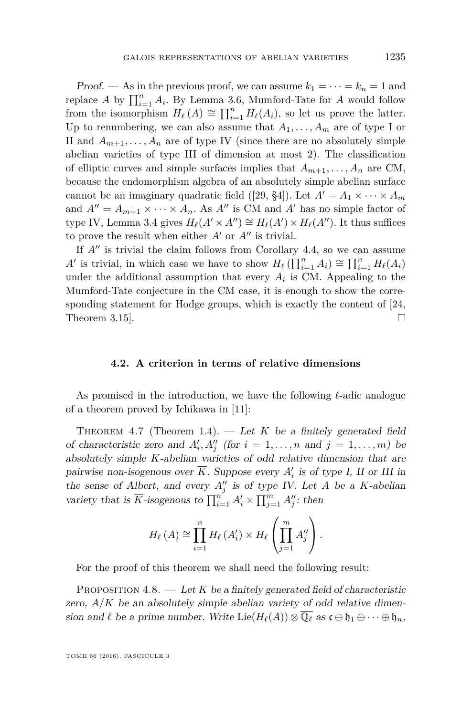Proof. — As in the previous proof, we can assume  $k_1 = \cdots = k_n = 1$  and replace *A* by  $\prod_{i=1}^{n} A_i$ . By Lemma [3.6,](#page-13-0) Mumford-Tate for *A* would follow from the isomorphism  $H_{\ell}(A) \cong \prod_{i=1}^{n} H_{\ell}(A_i)$ , so let us prove the latter. Up to renumbering, we can also assume that  $A_1, \ldots, A_m$  are of type I or II and  $A_{m+1}, \ldots, A_n$  are of type IV (since there are no absolutely simple abelian varieties of type III of dimension at most 2). The classification of elliptic curves and simple surfaces implies that  $A_{m+1}, \ldots, A_n$  are CM, because the endomorphism algebra of an absolutely simple abelian surface cannot be an imaginary quadratic field ([\[29,](#page-29-4) §4]). Let  $A' = A_1 \times \cdots \times A_m$ and  $A'' = A_{m+1} \times \cdots \times A_n$ . As  $A''$  is CM and  $A'$  has no simple factor of type IV, Lemma [3.4](#page-13-1) gives  $H_\ell(A' \times A'') \cong H_\ell(A') \times H_\ell(A'')$ . It thus suffices to prove the result when either  $A'$  or  $A''$  is trivial.

If  $A''$  is trivial the claim follows from Corollary [4.4,](#page-18-1) so we can assume *A*<sup> $\prime$ </sup> is trivial, in which case we have to show  $H_{\ell}(\prod_{i=1}^{n} A_i) \cong \prod_{i=1}^{n} H_{\ell}(A_i)$ under the additional assumption that every  $A_i$  is CM. Appealing to the Mumford-Tate conjecture in the CM case, it is enough to show the corresponding statement for Hodge groups, which is exactly the content of [\[24,](#page-28-20) Theorem 3.15].  $\Box$ 

#### **4.2. A criterion in terms of relative dimensions**

As promised in the introduction, we have the following  $\ell$ -adic analogue of a theorem proved by Ichikawa in [\[11\]](#page-28-1):

<span id="page-19-0"></span>THEOREM 4.7 (Theorem [1.4\)](#page-3-0). — Let  $K$  be a finitely generated field of characteristic zero and  $A'_i, A''_j$  (for  $i = 1, \ldots, n$  and  $j = 1, \ldots, m$ ) be absolutely simple *K*-abelian varieties of odd relative dimension that are pairwise non-isogenous over  $\overline{K}$ . Suppose every  $A'_i$  is of type I, II or III in the sense of Albert, and every  $A''_j$  is of type IV. Let *A* be a *K*-abelian variety that is  $\overline{K}$ -isogenous to  $\prod_{i=1}^{n} A'_{i} \times \prod_{j=1}^{m} A''_{j}$ : then

$$
H_{\ell}(A) \cong \prod_{i=1}^{n} H_{\ell}(A'_{i}) \times H_{\ell}\left(\prod_{j=1}^{m} A''_{j}\right).
$$

For the proof of this theorem we shall need the following result:

<span id="page-19-1"></span>PROPOSITION  $4.8.$  — Let K be a finitely generated field of characteristic zero,  $A/K$  be an absolutely simple abelian variety of odd relative dimension and  $\ell$  be a prime number. Write  $\text{Lie}(H_{\ell}(A)) \otimes \overline{\mathbb{Q}_{\ell}}$  as  $\mathfrak{c} \oplus \mathfrak{h}_1 \oplus \cdots \oplus \mathfrak{h}_n$ ,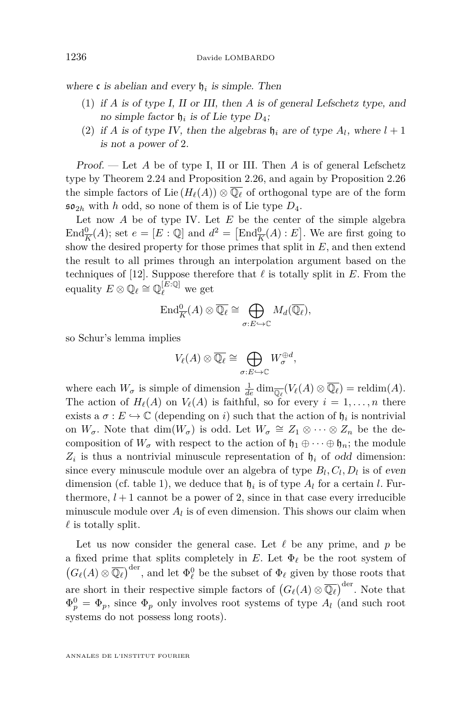where  $\mathfrak c$  is abelian and every  $\mathfrak h_i$  is simple. Then

- (1) if *A* is of type I, II or III, then *A* is of general Lefschetz type, and no simple factor  $\mathfrak{h}_i$  is of Lie type  $D_4$ ;
- (2) if *A* is of type IV, then the algebras  $\mathfrak{h}_i$  are of type  $A_l$ , where  $l+1$ is not a power of 2.

Proof. — Let *A* be of type I, II or III. Then *A* is of general Lefschetz type by Theorem [2.24](#page-11-0) and Proposition [2.26,](#page-11-1) and again by Proposition [2.26](#page-11-1) the simple factors of Lie  $(H_{\ell}(A)) \otimes \overline{\mathbb{Q}_{\ell}}$  of orthogonal type are of the form  $\mathfrak{so}_{2h}$  with *h* odd, so none of them is of Lie type  $D_4$ .

Let now *A* be of type IV. Let *E* be the center of the simple algebra  $\text{End}_{\overline{K}}^{\mathbf{0}}(A)$ ; set  $e = [E : \mathbb{Q}]$  and  $d^2 = [\text{End}_{\overline{K}}^{\mathbf{0}}(A) : E]$ . We are first going to show the desired property for those primes that split in *E*, and then extend the result to all primes through an interpolation argument based on the techniques of [\[12\]](#page-28-3). Suppose therefore that  $\ell$  is totally split in  $E$ . From the equality  $E \otimes \mathbb{Q}_\ell \cong \mathbb{Q}_\ell^{[E:\mathbb{Q}]}$  we get

$$
\operatorname{End}_{\overline{K}}^0(A) \otimes \overline{\mathbb{Q}_\ell} \cong \bigoplus_{\sigma: E \hookrightarrow \mathbb{C}} M_d(\overline{\mathbb{Q}_\ell}),
$$

so Schur's lemma implies

$$
V_{\ell}(A) \otimes \overline{\mathbb{Q}_{\ell}} \cong \bigoplus_{\sigma: E \hookrightarrow \mathbb{C}} W_{\sigma}^{\oplus d},
$$

where each  $W_{\sigma}$  is simple of dimension  $\frac{1}{de} \dim_{\overline{\mathbb{Q}_{\ell}}} (V_{\ell}(A) \otimes \overline{\mathbb{Q}_{\ell}}) = \text{reldim}(A)$ . The action of  $H_\ell(A)$  on  $V_\ell(A)$  is faithful, so for every  $i = 1, \ldots, n$  there exists a  $\sigma : E \hookrightarrow \mathbb{C}$  (depending on *i*) such that the action of  $\mathfrak{h}_i$  is nontrivial on  $W_{\sigma}$ . Note that  $\dim(W_{\sigma})$  is odd. Let  $W_{\sigma} \cong Z_1 \otimes \cdots \otimes Z_n$  be the decomposition of  $W_{\sigma}$  with respect to the action of  $\mathfrak{h}_1 \oplus \cdots \oplus \mathfrak{h}_n$ ; the module  $Z_i$  is thus a nontrivial minuscule representation of  $\mathfrak{h}_i$  of odd dimension: since every minuscule module over an algebra of type  $B_l, C_l, D_l$  is of even dimension (cf. table 1), we deduce that  $\mathfrak{h}_i$  is of type  $A_l$  for a certain *l*. Furthermore,  $l + 1$  cannot be a power of 2, since in that case every irreducible minuscule module over  $A_l$  is of even dimension. This shows our claim when  $\ell$  is totally split.

Let us now consider the general case. Let  $\ell$  be any prime, and  $p$  be a fixed prime that splits completely in  $E$ . Let  $\Phi_\ell$  be the root system of  $(G_{\ell}(A) \otimes \overline{\mathbb{Q}_{\ell}})^{\text{der}},$  and let  $\Phi_{\ell}^{0}$  be the subset of  $\Phi_{\ell}$  given by those roots that are short in their respective simple factors of  $(G_{\ell}(A) \otimes \overline{\mathbb{Q}_{\ell}})^{\text{der}}$ . Note that  $\Phi_p^0 = \Phi_p$ , since  $\Phi_p$  only involves root systems of type  $A_l$  (and such root systems do not possess long roots).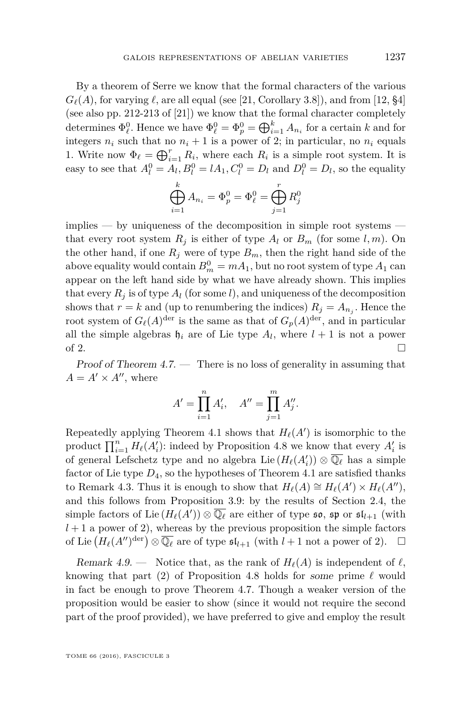By a theorem of Serre we know that the formal characters of the various  $G_{\ell}(A)$ , for varying  $\ell$ , are all equal (see [\[21,](#page-28-2) Corollary 3.8]), and from [\[12,](#page-28-3) §4] (see also pp. 212-213 of [\[21\]](#page-28-2)) we know that the formal character completely determines  $\Phi_{\ell}^0$ . Hence we have  $\Phi_{\ell}^0 = \Phi_p^0 = \bigoplus_{i=1}^k A_{n_i}$  for a certain *k* and for integers  $n_i$  such that no  $n_i + 1$  is a power of 2; in particular, no  $n_i$  equals 1. Write now  $\Phi_{\ell} = \bigoplus_{i=1}^{r} R_i$ , where each  $R_i$  is a simple root system. It is easy to see that  $A_l^0 = A_l$ ,  $B_l^0 = lA_1$ ,  $C_l^0 = D_l$  and  $D_l^0 = D_l$ , so the equality

$$
\bigoplus_{i=1}^{k} A_{n_i} = \Phi_p^0 = \Phi_\ell^0 = \bigoplus_{j=1}^{r} R_j^0
$$

 $implies - by uniqueness of the decomposition in simple root systems$ that every root system  $R_i$  is either of type  $A_l$  or  $B_m$  (for some  $l, m$ ). On the other hand, if one  $R_j$  were of type  $B_m$ , then the right hand side of the above equality would contain  $B_m^0 = mA_1$ , but no root system of type  $A_1$  can appear on the left hand side by what we have already shown. This implies that every  $R_i$  is of type  $A_l$  (for some *l*), and uniqueness of the decomposition shows that  $r = k$  and (up to renumbering the indices)  $R_j = A_{n_j}$ . Hence the root system of  $G_{\ell}(A)^{\text{der}}$  is the same as that of  $G_p(A)^{\text{der}}$ , and in particular all the simple algebras  $\mathfrak{h}_i$  are of Lie type  $A_l$ , where  $l+1$  is not a power of 2.

Proof of Theorem [4.7.](#page-19-0) — There is no loss of generality in assuming that  $A = A' \times A''$ , where

$$
A' = \prod_{i=1}^{n} A'_i, \quad A'' = \prod_{j=1}^{m} A''_j.
$$

Repeatedly applying Theorem [4.1](#page-16-0) shows that  $H_{\ell}(A')$  is isomorphic to the product  $\prod_{i=1}^{n} H_{\ell}(A_i')$ : indeed by Proposition [4.8](#page-19-1) we know that every  $A_i'$  is of general Lefschetz type and no algebra Lie  $(H_{\ell}(A_i')) \otimes \overline{\mathbb{Q}_{\ell}}$  has a simple factor of Lie type  $D_4$ , so the hypotheses of Theorem [4.1](#page-16-0) are satisfied thanks to Remark [4.3.](#page-17-0) Thus it is enough to show that  $H_\ell(A) \cong H_\ell(A') \times H_\ell(A'')$ , and this follows from Proposition [3.9:](#page-15-0) by the results of Section [2.4,](#page-8-1) the simple factors of Lie  $(H_{\ell}(A')) \otimes \overline{\mathbb{Q}_{\ell}}$  are either of type  $\mathfrak{so}, \mathfrak{sp}$  or  $\mathfrak{sl}_{l+1}$  (with  $l + 1$  a power of 2), whereas by the previous proposition the simple factors of Lie  $(H_{\ell}(A'')^{\text{der}}) \otimes \overline{\mathbb{Q}_{\ell}}$  are of type  $\mathfrak{sl}_{l+1}$  (with  $l+1$  not a power of 2).  $\square$ 

Remark 4.9. — Notice that, as the rank of  $H_\ell(A)$  is independent of  $\ell$ , knowing that part (2) of Proposition [4.8](#page-19-1) holds for some prime  $\ell$  would in fact be enough to prove Theorem [4.7.](#page-19-0) Though a weaker version of the proposition would be easier to show (since it would not require the second part of the proof provided), we have preferred to give and employ the result

TOME 66 (2016), FASCICULE 3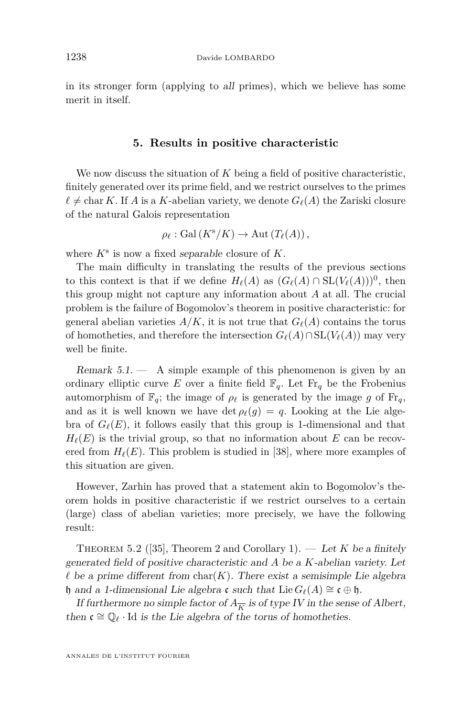in its stronger form (applying to all primes), which we believe has some merit in itself.

#### **5. Results in positive characteristic**

<span id="page-22-0"></span>We now discuss the situation of *K* being a field of positive characteristic, finitely generated over its prime field, and we restrict ourselves to the primes  $\ell \neq \text{char } K$ . If *A* is a *K*-abelian variety, we denote  $G_{\ell}(A)$  the Zariski closure of the natural Galois representation

$$
\rho_{\ell} : \mathrm{Gal}(K^{\mathrm{s}}/K) \to \mathrm{Aut}\left(T_{\ell}(A)\right),
$$

where *K*<sup>s</sup> is now a fixed separable closure of *K*.

The main difficulty in translating the results of the previous sections to this context is that if we define  $H_\ell(A)$  as  $(G_\ell(A) \cap SL(V_\ell(A)))^0$ , then this group might not capture any information about *A* at all. The crucial problem is the failure of Bogomolov's theorem in positive characteristic: for general abelian varieties  $A/K$ , it is not true that  $G_{\ell}(A)$  contains the torus of homotheties, and therefore the intersection  $G_{\ell}(A) \cap SL(V_{\ell}(A))$  may very well be finite.

Remark  $5.1.$  - A simple example of this phenomenon is given by an ordinary elliptic curve *E* over a finite field  $\mathbb{F}_q$ . Let  $\text{Fr}_q$  be the Frobenius automorphism of  $\mathbb{F}_q$ ; the image of  $\rho_\ell$  is generated by the image g of  $\mathbb{F}_{q}$ , and as it is well known we have det  $\rho_{\ell}(g) = q$ . Looking at the Lie algebra of  $G_{\ell}(E)$ , it follows easily that this group is 1-dimensional and that  $H_{\ell}(E)$  is the trivial group, so that no information about *E* can be recovered from  $H_\ell(E)$ . This problem is studied in [\[38\]](#page-29-5), where more examples of this situation are given.

However, Zarhin has proved that a statement akin to Bogomolov's theorem holds in positive characteristic if we restrict ourselves to a certain (large) class of abelian varieties; more precisely, we have the following result:

THEOREM 5.2 ([\[35\]](#page-29-6), Theorem 2 and Corollary 1). — Let K be a finitely generated field of positive characteristic and *A* be a *K*-abelian variety. Let  $\ell$  be a prime different from char(*K*). There exist a semisimple Lie algebra h and a 1-dimensional Lie algebra c such that Lie  $G_{\ell}(A) \cong c \oplus \mathfrak{h}$ .

If furthermore no simple factor of  $A_{\overline{K}}$  is of type IV in the sense of Albert, then  $\mathfrak{c} \cong \mathbb{Q}_{\ell}$  · Id is the Lie algebra of the torus of homotheties.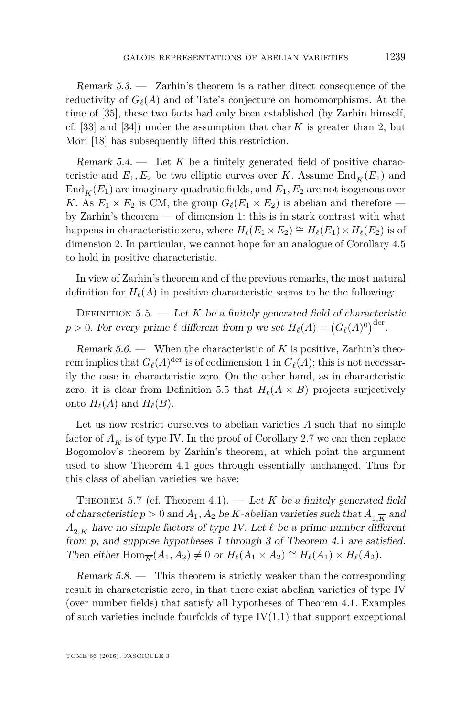Remark 5.3. — Zarhin's theorem is a rather direct consequence of the reductivity of  $G_{\ell}(A)$  and of Tate's conjecture on homomorphisms. At the time of [\[35\]](#page-29-6), these two facts had only been established (by Zarhin himself, cf. [\[33\]](#page-29-7) and [\[34\]](#page-29-8)) under the assumption that char *K* is greater than 2, but Mori [\[18\]](#page-28-21) has subsequently lifted this restriction.

Remark  $5.4.$  — Let  $K$  be a finitely generated field of positive characteristic and  $E_1, E_2$  be two elliptic curves over *K*. Assume  $\text{End}_{\overline{K}}(E_1)$  and  $\text{End}_{\overline{K}}(E_1)$  are imaginary quadratic fields, and  $E_1, E_2$  are not isogenous over  $\overline{K}$ . As  $E_1 \times E_2$  is CM, the group  $G_{\ell}(E_1 \times E_2)$  is abelian and therefore by Zarhin's theorem — of dimension 1: this is in stark contrast with what happens in characteristic zero, where  $H_\ell(E_1 \times E_2) \cong H_\ell(E_1) \times H_\ell(E_2)$  is of dimension 2. In particular, we cannot hope for an analogue of Corollary [4.5](#page-18-0) to hold in positive characteristic.

In view of Zarhin's theorem and of the previous remarks, the most natural definition for  $H_{\ell}(A)$  in positive characteristic seems to be the following:

<span id="page-23-0"></span>DEFINITION  $5.5.$  — Let *K* be a finitely generated field of characteristic  $p > 0$ . For every prime  $\ell$  different from  $p$  we set  $H_{\ell}(A) = (G_{\ell}(A)^0)^{\text{der}}$ .

Remark 5.6. — When the characteristic of *K* is positive, Zarhin's theorem implies that  $G_{\ell}(A)^{\text{der}}$  is of codimension 1 in  $G_{\ell}(A)$ ; this is not necessarily the case in characteristic zero. On the other hand, as in characteristic zero, it is clear from Definition [5.5](#page-23-0) that  $H_{\ell}(A \times B)$  projects surjectively onto  $H_\ell(A)$  and  $H_\ell(B)$ .

Let us now restrict ourselves to abelian varieties *A* such that no simple factor of  $A_{\overline{K}}$  is of type IV. In the proof of Corollary [2.7](#page-6-1) we can then replace Bogomolov's theorem by Zarhin's theorem, at which point the argument used to show Theorem [4.1](#page-16-0) goes through essentially unchanged. Thus for this class of abelian varieties we have:

<span id="page-23-1"></span>THEOREM 5.7 (cf. Theorem [4.1\)](#page-16-0). — Let K be a finitely generated field of characteristic  $p > 0$  and  $A_1, A_2$  be *K*-abelian varieties such that  $A_1 \overline{K}$  and  $A_{2\overline{K}}$  have no simple factors of type IV. Let  $\ell$  be a prime number different from *p*, and suppose hypotheses 1 through 3 of Theorem [4.1](#page-16-0) are satisfied. Then either  $\text{Hom}_{\overline{K}}(A_1, A_2) \neq 0$  or  $H_{\ell}(A_1 \times A_2) \cong H_{\ell}(A_1) \times H_{\ell}(A_2)$ .

Remark  $5.8.$  — This theorem is strictly weaker than the corresponding result in characteristic zero, in that there exist abelian varieties of type IV (over number fields) that satisfy all hypotheses of Theorem [4.1.](#page-16-0) Examples of such varieties include fourfolds of type  $IV(1,1)$  that support exceptional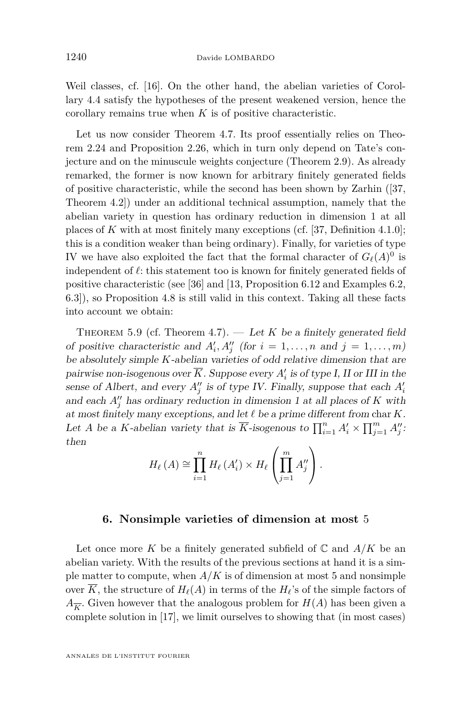Weil classes, cf. [\[16\]](#page-28-14). On the other hand, the abelian varieties of Corollary [4.4](#page-18-1) satisfy the hypotheses of the present weakened version, hence the corollary remains true when *K* is of positive characteristic.

Let us now consider Theorem [4.7.](#page-19-0) Its proof essentially relies on Theorem [2.24](#page-11-0) and Proposition [2.26,](#page-11-1) which in turn only depend on Tate's conjecture and on the minuscule weights conjecture (Theorem [2.9\)](#page-7-0). As already remarked, the former is now known for arbitrary finitely generated fields of positive characteristic, while the second has been shown by Zarhin ([\[37,](#page-29-9) Theorem 4.2]) under an additional technical assumption, namely that the abelian variety in question has ordinary reduction in dimension 1 at all places of *K* with at most finitely many exceptions (cf. [\[37,](#page-29-9) Definition 4.1.0]; this is a condition weaker than being ordinary). Finally, for varieties of type IV we have also exploited the fact that the formal character of  $G_{\ell}(A)^0$  is independent of  $\ell$ : this statement too is known for finitely generated fields of positive characteristic (see [\[36\]](#page-29-10) and [\[13,](#page-28-22) Proposition 6.12 and Examples 6.2, 6.3]), so Proposition [4.8](#page-19-1) is still valid in this context. Taking all these facts into account we obtain:

<span id="page-24-0"></span>THEOREM 5.9 (cf. Theorem [4.7\)](#page-19-0).  $\qquad$  Let *K* be a finitely generated field of positive characteristic and  $A'_i, A''_j$  (for  $i = 1, \ldots, n$  and  $j = 1, \ldots, m$ ) be absolutely simple *K*-abelian varieties of odd relative dimension that are pairwise non-isogenous over  $\overline{K}$ . Suppose every  $A'_i$  is of type I, II or III in the sense of Albert, and every  $A''_j$  is of type IV. Finally, suppose that each  $A'_i$ and each  $A''_j$  has ordinary reduction in dimension 1 at all places of  $K$  with at most finitely many exceptions, and let  $\ell$  be a prime different from char  $K$ . Let *A* be a *K*-abelian variety that is  $\overline{K}$ -isogenous to  $\prod_{i=1}^{n} A_i' \times \prod_{j=1}^{m} A_j''$ . then

$$
H_{\ell}(A) \cong \prod_{i=1}^{n} H_{\ell}(A'_{i}) \times H_{\ell}\left(\prod_{j=1}^{m} A''_{j}\right).
$$

#### **6. Nonsimple varieties of dimension at most** 5

<span id="page-24-1"></span>Let once more K be a finitely generated subfield of  $\mathbb C$  and  $A/K$  be an abelian variety. With the results of the previous sections at hand it is a simple matter to compute, when  $A/K$  is of dimension at most 5 and nonsimple over  $\overline{K}$ , the structure of  $H_{\ell}(A)$  in terms of the  $H_{\ell}$ 's of the simple factors of  $A_{\overline{K}}$ . Given however that the analogous problem for  $H(A)$  has been given a complete solution in [\[17\]](#page-28-4), we limit ourselves to showing that (in most cases)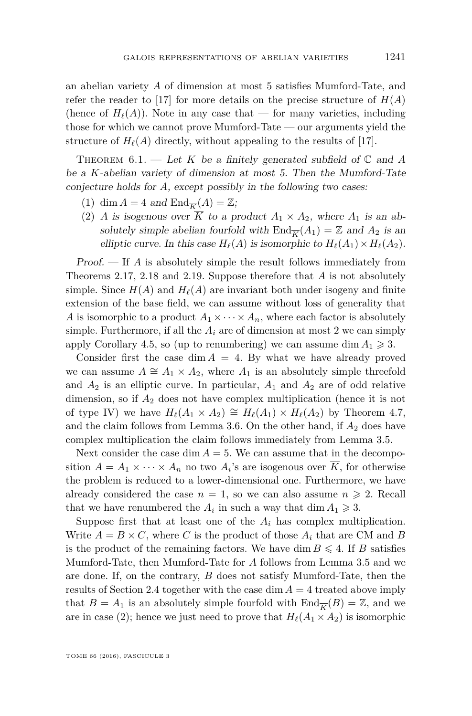an abelian variety *A* of dimension at most 5 satisfies Mumford-Tate, and refer the reader to [\[17\]](#page-28-4) for more details on the precise structure of  $H(A)$ (hence of  $H_{\ell}(A)$ ). Note in any case that — for many varieties, including those for which we cannot prove Mumford-Tate — our arguments yield the structure of  $H_\ell(A)$  directly, without appealing to the results of [\[17\]](#page-28-4).

<span id="page-25-0"></span>THEOREM  $6.1.$  — Let *K* be a finitely generated subfield of  $\mathbb{C}$  and *A* be a *K*-abelian variety of dimension at most 5. Then the Mumford-Tate conjecture holds for *A*, except possibly in the following two cases:

- (1) dim  $A = 4$  and  $\text{End}_{\overline{K}}(A) = \mathbb{Z}$ ;
- (2) *A* is isogenous over  $\overline{K}$  to a product  $A_1 \times A_2$ , where  $A_1$  is an absolutely simple abelian fourfold with  $\text{End}_{\overline{K}}(A_1) = \mathbb{Z}$  and  $A_2$  is an elliptic curve. In this case  $H_\ell(A)$  is isomorphic to  $H_\ell(A_1) \times H_\ell(A_2)$ .

Proof. — If *A* is absolutely simple the result follows immediately from Theorems [2.17,](#page-9-0) [2.18](#page-9-1) and [2.19.](#page-9-4) Suppose therefore that *A* is not absolutely simple. Since  $H(A)$  and  $H_{\ell}(A)$  are invariant both under isogeny and finite extension of the base field, we can assume without loss of generality that *A* is isomorphic to a product  $A_1 \times \cdots \times A_n$ , where each factor is absolutely simple. Furthermore, if all the  $A_i$  are of dimension at most 2 we can simply apply Corollary [4.5,](#page-18-0) so (up to renumbering) we can assume dim  $A_1 \geq 3$ .

Consider first the case  $\dim A = 4$ . By what we have already proved we can assume  $A \cong A_1 \times A_2$ , where  $A_1$  is an absolutely simple threefold and  $A_2$  is an elliptic curve. In particular,  $A_1$  and  $A_2$  are of odd relative dimension, so if *A*<sup>2</sup> does not have complex multiplication (hence it is not of type IV) we have  $H_\ell(A_1 \times A_2) \cong H_\ell(A_1) \times H_\ell(A_2)$  by Theorem [4.7,](#page-19-0) and the claim follows from Lemma [3.6.](#page-13-0) On the other hand, if  $A_2$  does have complex multiplication the claim follows immediately from Lemma [3.5.](#page-13-2)

Next consider the case dim  $A = 5$ . We can assume that in the decomposition  $A = A_1 \times \cdots \times A_n$  no two  $A_i$ 's are isogenous over  $K$ , for otherwise the problem is reduced to a lower-dimensional one. Furthermore, we have already considered the case  $n = 1$ , so we can also assume  $n \geq 2$ . Recall that we have renumbered the  $A_i$  in such a way that  $\dim A_1 \geqslant 3$ .

Suppose first that at least one of the  $A_i$  has complex multiplication. Write  $A = B \times C$ , where *C* is the product of those  $A_i$  that are CM and *B* is the product of the remaining factors. We have dim  $B \leq 4$ . If *B* satisfies Mumford-Tate, then Mumford-Tate for *A* follows from Lemma [3.5](#page-13-2) and we are done. If, on the contrary, *B* does not satisfy Mumford-Tate, then the results of Section [2.4](#page-8-1) together with the case  $\dim A = 4$  treated above imply that  $B = A_1$  is an absolutely simple fourfold with  $\text{End}_{\overline{K}}(B) = \mathbb{Z}$ , and we are in case (2); hence we just need to prove that  $H_{\ell}(A_1 \times A_2)$  is isomorphic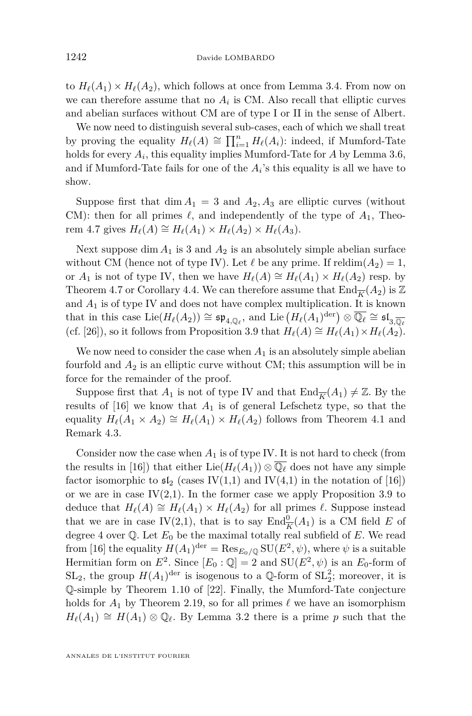to  $H_{\ell}(A_1) \times H_{\ell}(A_2)$ , which follows at once from Lemma [3.4.](#page-13-1) From now on we can therefore assume that no  $A_i$  is CM. Also recall that elliptic curves and abelian surfaces without CM are of type I or II in the sense of Albert.

We now need to distinguish several sub-cases, each of which we shall treat by proving the equality  $H_{\ell}(A) \cong \prod_{i=1}^{n} H_{\ell}(A_i)$ : indeed, if Mumford-Tate holds for every *A<sup>i</sup>* , this equality implies Mumford-Tate for *A* by Lemma [3.6,](#page-13-0) and if Mumford-Tate fails for one of the  $A_i$ 's this equality is all we have to show.

Suppose first that  $\dim A_1 = 3$  and  $A_2, A_3$  are elliptic curves (without CM): then for all primes  $\ell$ , and independently of the type of  $A_1$ , Theo-rem [4.7](#page-19-0) gives  $H_{\ell}(A) \cong H_{\ell}(A_1) \times H_{\ell}(A_2) \times H_{\ell}(A_3)$ .

Next suppose  $\dim A_1$  is 3 and  $A_2$  is an absolutely simple abelian surface without CM (hence not of type IV). Let  $\ell$  be any prime. If reldim $(A_2) = 1$ , or  $A_1$  is not of type IV, then we have  $H_\ell(A) \cong H_\ell(A_1) \times H_\ell(A_2)$  resp. by Theorem [4.7](#page-19-0) or Corollary [4.4.](#page-18-1) We can therefore assume that  $\text{End}_{\overline{K}}(A_2)$  is Z and  $A_1$  is of type IV and does not have complex multiplication. It is known that in this case  $\text{Lie}(H_\ell(A_2)) \cong \mathfrak{sp}_{4,\mathbb{Q}_\ell}$ , and  $\text{Lie}(H_\ell(A_1)^{\text{der}}) \otimes \overline{\mathbb{Q}_\ell} \cong \mathfrak{sl}_{3,\overline{\mathbb{Q}_\ell}}$ (cf. [\[26\]](#page-28-13)), so it follows from Proposition [3.9](#page-15-0) that  $H_\ell(A) \cong H_\ell(A_1) \times H_\ell(A_2)$ .

We now need to consider the case when  $A_1$  is an absolutely simple abelian fourfold and *A*<sup>2</sup> is an elliptic curve without CM; this assumption will be in force for the remainder of the proof.

Suppose first that  $A_1$  is not of type IV and that  $\text{End}_{\overline{K}}(A_1) \neq \mathbb{Z}$ . By the results of  $[16]$  we know that  $A_1$  is of general Lefschetz type, so that the equality  $H_{\ell}(A_1 \times A_2) \cong H_{\ell}(A_1) \times H_{\ell}(A_2)$  follows from Theorem [4.1](#page-16-0) and Remark [4.3.](#page-17-0)

Consider now the case when  $A_1$  is of type IV. It is not hard to check (from the results in [\[16\]](#page-28-14)) that either  $\text{Lie}(H_\ell(A_1)) \otimes \overline{\mathbb{Q}_\ell}$  does not have any simple factor isomorphic to  $\mathfrak{sl}_2$  (cases IV(1,1) and IV(4,1) in the notation of [\[16\]](#page-28-14)) or we are in case  $IV(2,1)$ . In the former case we apply Proposition [3.9](#page-15-0) to deduce that  $H_\ell(A) \cong H_\ell(A_1) \times H_\ell(A_2)$  for all primes  $\ell$ . Suppose instead that we are in case IV(2,1), that is to say  $\text{End}_{\overline{K}}^0(A_1)$  is a CM field *E* of degree 4 over  $\mathbb Q$ . Let  $E_0$  be the maximal totally real subfield of  $E$ . We read from [\[16\]](#page-28-14) the equality  $H(A_1)^{\text{der}} = \text{Res}_{E_0/\mathbb{Q}} \text{SU}(E^2, \psi)$ , where  $\psi$  is a suitable Hermitian form on  $E^2$ . Since  $[E_0: \mathbb{Q}] = 2$  and  $SU(E^2, \psi)$  is an  $E_0$ -form of  $SL_2$ , the group  $H(A_1)^{\text{der}}$  is isogenous to a  $\mathbb{Q}$ -form of  $SL_2^2$ ; moreover, it is Q-simple by Theorem 1.10 of [\[22\]](#page-28-23). Finally, the Mumford-Tate conjecture holds for  $A_1$  by Theorem [2.19,](#page-9-4) so for all primes  $\ell$  we have an isomorphism  $H_{\ell}(A_1) \cong H(A_1) \otimes \mathbb{Q}_{\ell}$ . By Lemma [3.2](#page-12-2) there is a prime *p* such that the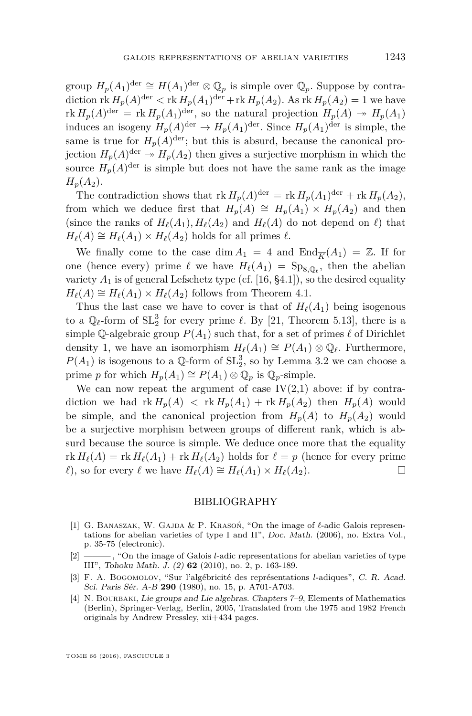group  $H_p(A_1)^{\text{der}} \cong H(A_1)^{\text{der}} \otimes \mathbb{Q}_p$  is simple over  $\mathbb{Q}_p$ . Suppose by contradiction  $\operatorname{rk} H_p(A)^{\operatorname{der}} < \operatorname{rk} H_p(A_1)^{\operatorname{der}} + \operatorname{rk} H_p(A_2)$ . As  $\operatorname{rk} H_p(A_2) = 1$  we have  $\text{rk } H_p(A)$ <sup>der</sup> =  $\text{rk } H_p(A_1)$ <sup>der</sup>, so the natural projection  $H_p(A) \rightarrow H_p(A_1)$ induces an isogeny  $H_p(A)^{\text{der}} \to H_p(A_1)^{\text{der}}$ . Since  $H_p(A_1)^{\text{der}}$  is simple, the same is true for  $H_p(A)^{\text{der}}$ ; but this is absurd, because the canonical projection  $H_p(A)^{\text{der}} \to H_p(A_2)$  then gives a surjective morphism in which the source  $H_p(A)^{\text{der}}$  is simple but does not have the same rank as the image  $H_p(A_2)$ .

The contradiction shows that  $\text{rk } H_p(A)^{\text{der}} = \text{rk } H_p(A_1)^{\text{der}} + \text{rk } H_p(A_2),$ from which we deduce first that  $H_p(A) \cong H_p(A_1) \times H_p(A_2)$  and then (since the ranks of  $H_\ell(A_1), H_\ell(A_2)$  and  $H_\ell(A)$  do not depend on  $\ell$ ) that  $H_{\ell}(A) \cong H_{\ell}(A_1) \times H_{\ell}(A_2)$  holds for all primes  $\ell$ .

We finally come to the case dim  $A_1 = 4$  and  $\text{End}_{\overline{K}}(A_1) = \mathbb{Z}$ . If for one (hence every) prime  $\ell$  we have  $H_{\ell}(A_1) = \text{Sp}_{8,\mathbb{Q}_{\ell}}$ , then the abelian variety  $A_1$  is of general Lefschetz type (cf. [\[16,](#page-28-14) §4.1]), so the desired equality  $H_{\ell}(A) \cong H_{\ell}(A_1) \times H_{\ell}(A_2)$  follows from Theorem [4.1.](#page-16-0)

Thus the last case we have to cover is that of  $H_\ell(A_1)$  being isogenous to a  $\mathbb{Q}_\ell$ -form of  $SL_2^3$  for every prime  $\ell$ . By [\[21,](#page-28-2) Theorem 5.13], there is a simple Q-algebraic group  $P(A_1)$  such that, for a set of primes  $\ell$  of Dirichlet density 1, we have an isomorphism  $H_\ell(A_1) \cong P(A_1) \otimes \mathbb{Q}_\ell$ . Furthermore,  $P(A_1)$  is isogenous to a  $\mathbb{Q}$ -form of  $SL_2^3$ , so by Lemma [3.2](#page-12-2) we can choose a prime *p* for which  $H_p(A_1) \cong P(A_1) \otimes \mathbb{Q}_p$  is  $\mathbb{Q}_p$ -simple.

We can now repeat the argument of case  $IV(2,1)$  above: if by contradiction we had  $\text{rk } H_p(A) < \text{rk } H_p(A_1) + \text{rk } H_p(A_2)$  then  $H_p(A)$  would be simple, and the canonical projection from  $H_p(A)$  to  $H_p(A_2)$  would be a surjective morphism between groups of different rank, which is absurd because the source is simple. We deduce once more that the equality  $\text{rk } H_{\ell}(A) = \text{rk } H_{\ell}(A_1) + \text{rk } H_{\ell}(A_2)$  holds for  $\ell = p$  (hence for every prime  $\ell$ ), so for every  $\ell$  we have  $H_{\ell}(A) \cong H_{\ell}(A_1) \times H_{\ell}(A_2)$ . □

#### BIBLIOGRAPHY

- <span id="page-27-2"></span>[1] G. BANASZAK, W. GAJDA  $\&$  P. KRASON, "On the image of  $\ell$ -adic Galois representations for abelian varieties of type I and II", Doc. Math. (2006), no. Extra Vol., p. 35-75 (electronic).
- <span id="page-27-3"></span>[2] ——— , "On the image of Galois *l*-adic representations for abelian varieties of type III", Tohoku Math. J. (2) **62** (2010), no. 2, p. 163-189.
- <span id="page-27-1"></span>[3] F. A. Bogomolov, "Sur l'algébricité des représentations *l*-adiques", C. R. Acad. Sci. Paris Sér. A-B **290** (1980), no. 15, p. A701-A703.
- <span id="page-27-0"></span>[4] N. BOURBAKI, Lie groups and Lie algebras. Chapters 7–9, Elements of Mathematics (Berlin), Springer-Verlag, Berlin, 2005, Translated from the 1975 and 1982 French originals by Andrew Pressley, xii+434 pages.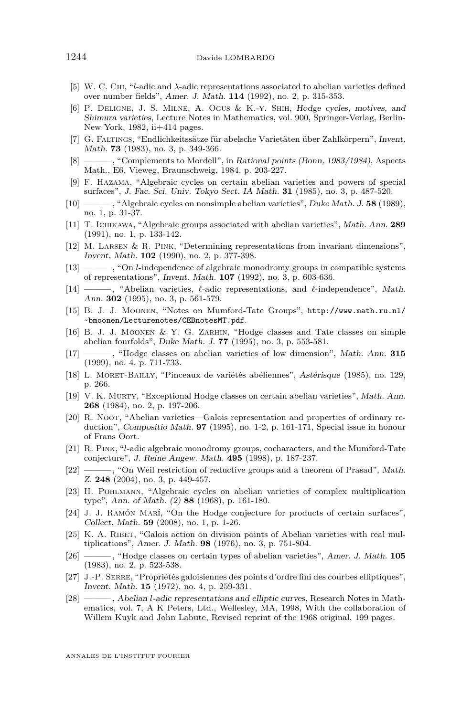- <span id="page-28-16"></span>[5] W. C. Chi, "*l*-adic and *λ*-adic representations associated to abelian varieties defined over number fields", Amer. J. Math. **114** (1992), no. 2, p. 315-353.
- <span id="page-28-9"></span>[6] P. Deligne, J. S. Milne, A. Ogus & K.-y. Shih, Hodge cycles, motives, and Shimura varieties, Lecture Notes in Mathematics, vol. 900, Springer-Verlag, Berlin-New York, 1982, ii+414 pages.
- <span id="page-28-6"></span>[7] G. Faltings, "Endlichkeitssätze für abelsche Varietäten über Zahlkörpern", Invent. Math. **73** (1983), no. 3, p. 349-366.
- <span id="page-28-7"></span>[8] ——— , "Complements to Mordell", in Rational points (Bonn, 1983/1984), Aspects Math., E6, Vieweg, Braunschweig, 1984, p. 203-227.
- <span id="page-28-17"></span>[9] F. Hazama, "Algebraic cycles on certain abelian varieties and powers of special surfaces", J. Fac. Sci. Univ. Tokyo Sect. IA Math. **31** (1985), no. 3, p. 487-520.
- <span id="page-28-0"></span>[10] ——— , "Algebraic cycles on nonsimple abelian varieties", Duke Math. J. **58** (1989), no. 1, p. 31-37.
- <span id="page-28-1"></span>[11] T. Ichikawa, "Algebraic groups associated with abelian varieties", Math. Ann. **289** (1991), no. 1, p. 133-142.
- <span id="page-28-3"></span>[12] M. Larsen & R. Pink, "Determining representations from invariant dimensions", Invent. Math. **102** (1990), no. 2, p. 377-398.
- <span id="page-28-22"></span>[13] ——— , "On *l*-independence of algebraic monodromy groups in compatible systems of representations", Invent. Math. **107** (1992), no. 3, p. 603-636.
- <span id="page-28-10"></span>[14] ———, "Abelian varieties,  $\ell$ -adic representations, and  $\ell$ -independence", Math. Ann. **302** (1995), no. 3, p. 561-579.
- <span id="page-28-5"></span>[15] B. J. J. Moonen, "Notes on Mumford-Tate Groups", [http://www.math.ru.nl/](http://www.math.ru.nl/~bmoonen/Lecturenotes/CEBnotesMT.pdf) [~bmoonen/Lecturenotes/CEBnotesMT.pdf](http://www.math.ru.nl/~bmoonen/Lecturenotes/CEBnotesMT.pdf).
- <span id="page-28-14"></span>[16] B. J. J. Moonen & Y. G. Zarhin, "Hodge classes and Tate classes on simple abelian fourfolds", Duke Math. J. **77** (1995), no. 3, p. 553-581.
- <span id="page-28-4"></span>[17] ——— , "Hodge classes on abelian varieties of low dimension", Math. Ann. **315** (1999), no. 4, p. 711-733.
- <span id="page-28-21"></span>[18] L. Moret-Bailly, "Pinceaux de variétés abéliennes", Astérisque (1985), no. 129, p. 266.
- <span id="page-28-15"></span>[19] V. K. Murty, "Exceptional Hodge classes on certain abelian varieties", Math. Ann. **268** (1984), no. 2, p. 197-206.
- <span id="page-28-8"></span>[20] R. Noot, "Abelian varieties—Galois representation and properties of ordinary reduction", Compositio Math. **97** (1995), no. 1-2, p. 161-171, Special issue in honour of Frans Oort.
- <span id="page-28-2"></span>[21] R. Pink, "*l*-adic algebraic monodromy groups, cocharacters, and the Mumford-Tate conjecture", J. Reine Angew. Math. **495** (1998), p. 187-237.
- <span id="page-28-23"></span>[22] ——, "On Weil restriction of reductive groups and a theorem of Prasad", Math. Z. **248** (2004), no. 3, p. 449-457.
- <span id="page-28-11"></span>[23] H. Pohlmann, "Algebraic cycles on abelian varieties of complex multiplication type", Ann. of Math. (2) **88** (1968), p. 161-180.
- <span id="page-28-20"></span>[24] J. J. Ramón Marí, "On the Hodge conjecture for products of certain surfaces", Collect. Math. **59** (2008), no. 1, p. 1-26.
- <span id="page-28-19"></span>[25] K. A. RIBET, "Galois action on division points of Abelian varieties with real multiplications", Amer. J. Math. **98** (1976), no. 3, p. 751-804.
- <span id="page-28-13"></span>[26] ——— , "Hodge classes on certain types of abelian varieties", Amer. J. Math. **105** (1983), no. 2, p. 523-538.
- <span id="page-28-18"></span>[27] J.-P. SERRE, "Propriétés galoisiennes des points d'ordre fini des courbes elliptiques", Invent. Math. **15** (1972), no. 4, p. 259-331.
- <span id="page-28-12"></span>[28] ——— , Abelian *l*-adic representations and elliptic curves, Research Notes in Mathematics, vol. 7, A K Peters, Ltd., Wellesley, MA, 1998, With the collaboration of Willem Kuyk and John Labute, Revised reprint of the 1968 original, 199 pages.